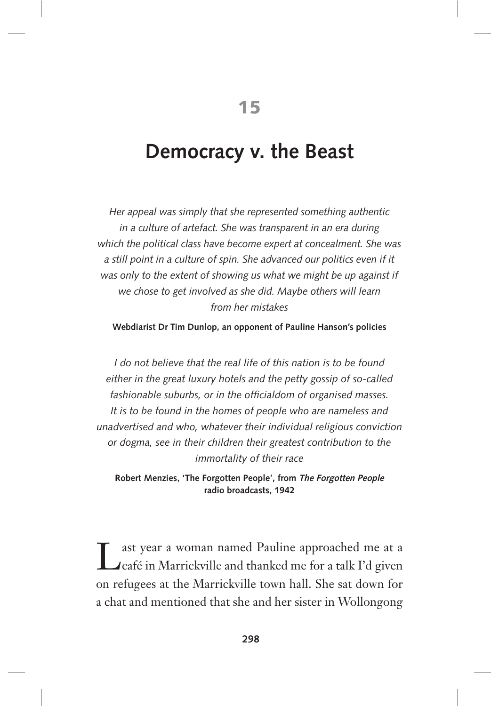# **Democracy v. the Beast**

*Her appeal was simply that she represented something authentic in a culture of artefact. She was transparent in an era during which the political class have become expert at concealment. She was*  a still point in a culture of spin. She advanced our politics even if it *was only to the extent of showing us what we might be up against if we chose to get involved as she did. Maybe others will learn from her mistakes*

#### **Webdiarist Dr Tim Dunlop, an opponent of Pauline Hanson's policies**

*I* do not believe that the real life of this nation is to be found *either in the great luxury hotels and the petty gossip of so-called fashionable suburbs, or in the officialdom of organised masses. It is to be found in the homes of people who are nameless and unadvertised and who, whatever their individual religious conviction or dogma, see in their children their greatest contribution to the immortality of their race*

**Robert Menzies, 'The Forgotten People', from The Forgotten People radio broadcasts, 1942**

Last year a woman named Pauline approached me at a<br>
Lafé in Marrickville and thanked me for a talk I'd given ast year a woman named Pauline approached me at a on refugees at the Marrickville town hall. She sat down for a chat and mentioned that she and her sister in Wollongong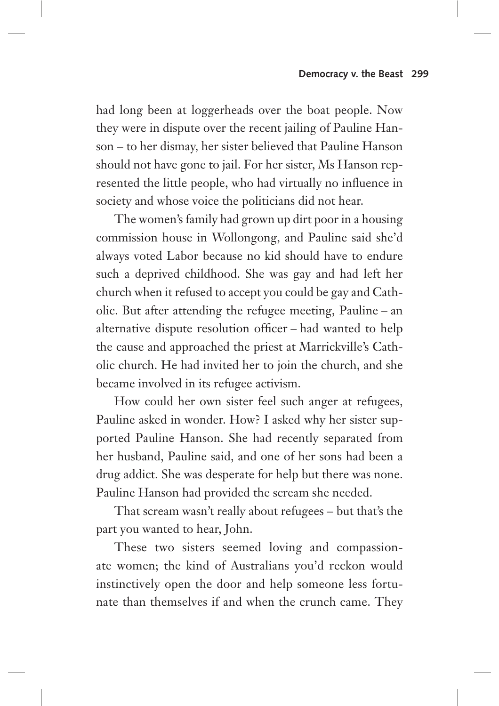had long been at loggerheads over the boat people. Now they were in dispute over the recent jailing of Pauline Hanson – to her dismay, her sister believed that Pauline Hanson should not have gone to jail. For her sister, Ms Hanson represented the little people, who had virtually no influence in society and whose voice the politicians did not hear.

The women's family had grown up dirt poor in a housing commission house in Wollongong, and Pauline said she'd always voted Labor because no kid should have to endure such a deprived childhood. She was gay and had left her church when it refused to accept you could be gay and Catholic. But after attending the refugee meeting, Pauline – an alternative dispute resolution officer – had wanted to help the cause and approached the priest at Marrickville's Catholic church. He had invited her to join the church, and she became involved in its refugee activism.

How could her own sister feel such anger at refugees, Pauline asked in wonder. How? I asked why her sister supported Pauline Hanson. She had recently separated from her husband, Pauline said, and one of her sons had been a drug addict. She was desperate for help but there was none. Pauline Hanson had provided the scream she needed.

That scream wasn't really about refugees – but that's the part you wanted to hear, John.

These two sisters seemed loving and compassionate women; the kind of Australians you'd reckon would instinctively open the door and help someone less fortunate than themselves if and when the crunch came. They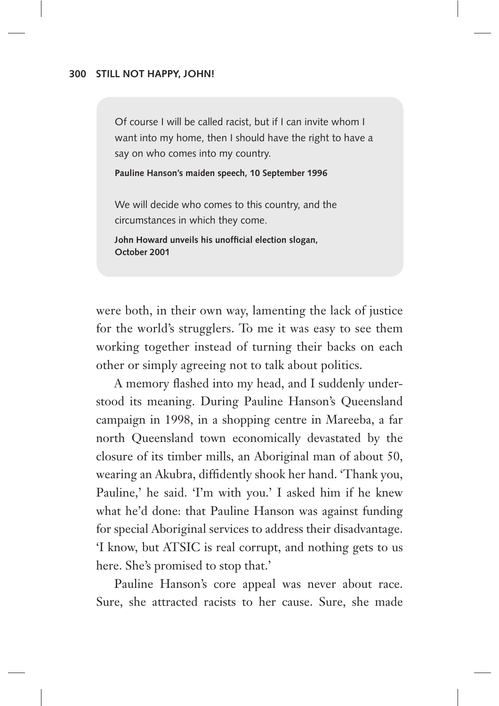Of course I will be called racist, but if I can invite whom I want into my home, then I should have the right to have a say on who comes into my country.

**Pauline Hanson's maiden speech, 10 September 1996**

We will decide who comes to this country, and the circumstances in which they come.

**John Howard unveils his unofficial election slogan, October 2001**

were both, in their own way, lamenting the lack of justice for the world's strugglers. To me it was easy to see them working together instead of turning their backs on each other or simply agreeing not to talk about politics.

A memory flashed into my head, and I suddenly understood its meaning. During Pauline Hanson's Queensland campaign in 1998, in a shopping centre in Mareeba, a far north Queensland town economically devastated by the closure of its timber mills, an Aboriginal man of about 50, wearing an Akubra, diffidently shook her hand. 'Thank you, Pauline,' he said. 'I'm with you.' I asked him if he knew what he'd done: that Pauline Hanson was against funding for special Aboriginal services to address their disadvantage. 'I know, but ATSIC is real corrupt, and nothing gets to us here. She's promised to stop that.'

Pauline Hanson's core appeal was never about race. Sure, she attracted racists to her cause. Sure, she made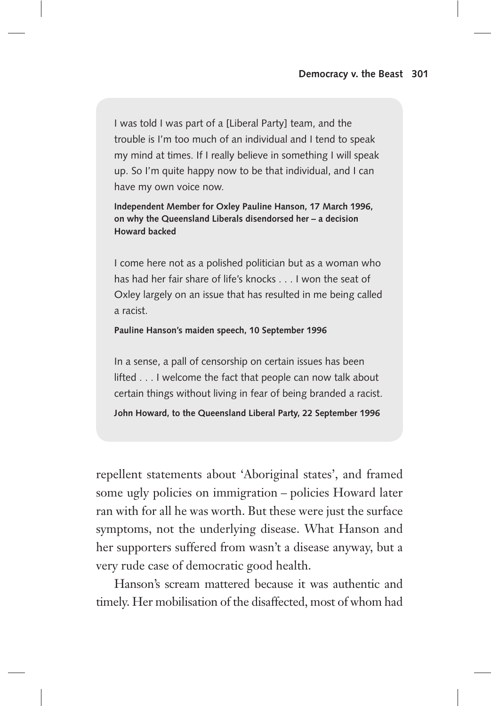I was told I was part of a [Liberal Party] team, and the trouble is I'm too much of an individual and I tend to speak my mind at times. If I really believe in something I will speak up. So I'm quite happy now to be that individual, and I can have my own voice now.

**Independent Member for Oxley Pauline Hanson, 17 March 1996, on why the Queensland Liberals disendorsed her – a decision Howard backed**

I come here not as a polished politician but as a woman who has had her fair share of life's knocks . . . I won the seat of Oxley largely on an issue that has resulted in me being called a racist.

#### **Pauline Hanson's maiden speech, 10 September 1996**

In a sense, a pall of censorship on certain issues has been lifted . . . I welcome the fact that people can now talk about certain things without living in fear of being branded a racist. **John Howard, to the Queensland Liberal Party, 22 September 1996**

repellent statements about 'Aboriginal states', and framed some ugly policies on immigration – policies Howard later ran with for all he was worth. But these were just the surface symptoms, not the underlying disease. What Hanson and her supporters suffered from wasn't a disease anyway, but a very rude case of democratic good health.

Hanson's scream mattered because it was authentic and timely. Her mobilisation of the disaffected, most of whom had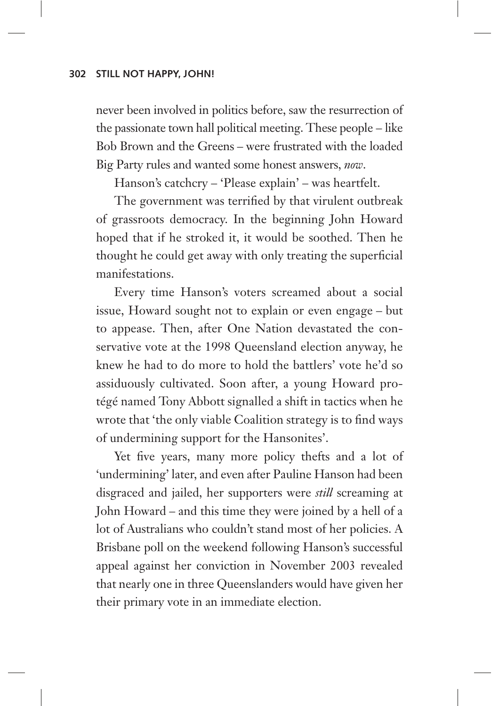never been involved in politics before, saw the resurrection of the passionate town hall political meeting. These people – like Bob Brown and the Greens – were frustrated with the loaded Big Party rules and wanted some honest answers, *now*.

Hanson's catchcry – 'Please explain' – was heartfelt.

The government was terrified by that virulent outbreak of grassroots democracy. In the beginning John Howard hoped that if he stroked it, it would be soothed. Then he thought he could get away with only treating the superficial manifestations.

Every time Hanson's voters screamed about a social issue, Howard sought not to explain or even engage – but to appease. Then, after One Nation devastated the conservative vote at the 1998 Queensland election anyway, he knew he had to do more to hold the battlers' vote he'd so assiduously cultivated. Soon after, a young Howard protégé named Tony Abbott signalled a shift in tactics when he wrote that 'the only viable Coalition strategy is to find ways of undermining support for the Hansonites'.

Yet five years, many more policy thefts and a lot of 'undermining' later, and even after Pauline Hanson had been disgraced and jailed, her supporters were *still* screaming at John Howard – and this time they were joined by a hell of a lot of Australians who couldn't stand most of her policies. A Brisbane poll on the weekend following Hanson's successful appeal against her conviction in November 2003 revealed that nearly one in three Queenslanders would have given her their primary vote in an immediate election.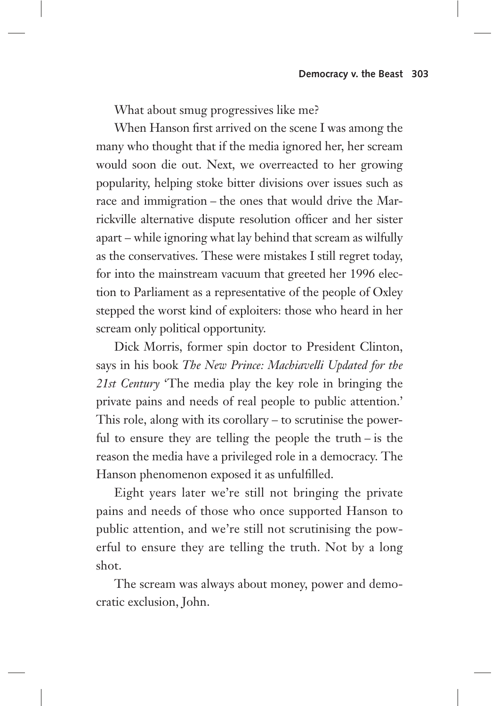What about smug progressives like me?

When Hanson first arrived on the scene I was among the many who thought that if the media ignored her, her scream would soon die out. Next, we overreacted to her growing popularity, helping stoke bitter divisions over issues such as race and immigration – the ones that would drive the Marrickville alternative dispute resolution officer and her sister apart – while ignoring what lay behind that scream as wilfully as the conservatives. These were mistakes I still regret today, for into the mainstream vacuum that greeted her 1996 election to Parliament as a representative of the people of Oxley stepped the worst kind of exploiters: those who heard in her scream only political opportunity.

Dick Morris, former spin doctor to President Clinton, says in his book *The New Prince: Machiavelli Updated for the 21st Century* 'The media play the key role in bringing the private pains and needs of real people to public attention.' This role, along with its corollary – to scrutinise the powerful to ensure they are telling the people the truth – is the reason the media have a privileged role in a democracy. The Hanson phenomenon exposed it as unfulfilled.

Eight years later we're still not bringing the private pains and needs of those who once supported Hanson to public attention, and we're still not scrutinising the powerful to ensure they are telling the truth. Not by a long shot.

The scream was always about money, power and democratic exclusion, John.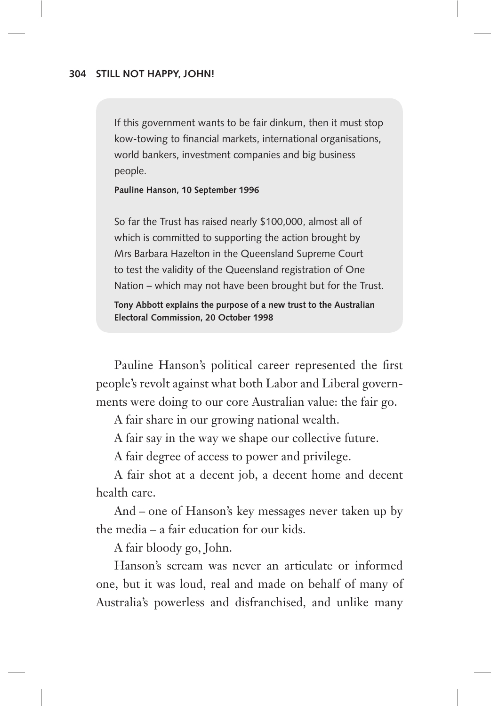If this government wants to be fair dinkum, then it must stop kow-towing to financial markets, international organisations, world bankers, investment companies and big business people.

**Pauline Hanson, 10 September 1996**

So far the Trust has raised nearly \$100,000, almost all of which is committed to supporting the action brought by Mrs Barbara Hazelton in the Queensland Supreme Court to test the validity of the Queensland registration of One Nation – which may not have been brought but for the Trust.

**Tony Abbott explains the purpose of a new trust to the Australian Electoral Commission, 20 October 1998**

Pauline Hanson's political career represented the first people's revolt against what both Labor and Liberal governments were doing to our core Australian value: the fair go.

A fair share in our growing national wealth.

A fair say in the way we shape our collective future.

A fair degree of access to power and privilege.

A fair shot at a decent job, a decent home and decent health care.

And – one of Hanson's key messages never taken up by the media – a fair education for our kids.

A fair bloody go, John.

Hanson's scream was never an articulate or informed one, but it was loud, real and made on behalf of many of Australia's powerless and disfranchised, and unlike many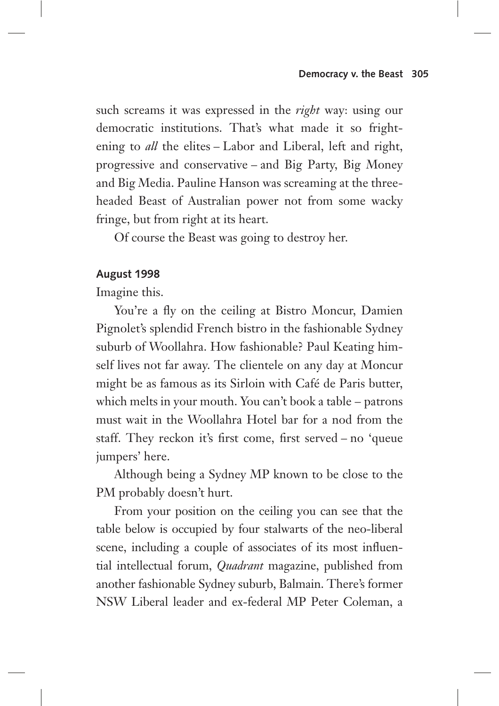such screams it was expressed in the *right* way: using our democratic institutions. That's what made it so frightening to *all* the elites – Labor and Liberal, left and right, progressive and conservative – and Big Party, Big Money and Big Media. Pauline Hanson was screaming at the threeheaded Beast of Australian power not from some wacky fringe, but from right at its heart.

Of course the Beast was going to destroy her.

## **August 1998**

Imagine this.

You're a fly on the ceiling at Bistro Moncur, Damien Pignolet's splendid French bistro in the fashionable Sydney suburb of Woollahra. How fashionable? Paul Keating himself lives not far away. The clientele on any day at Moncur might be as famous as its Sirloin with Café de Paris butter, which melts in your mouth. You can't book a table – patrons must wait in the Woollahra Hotel bar for a nod from the staff. They reckon it's first come, first served – no 'queue jumpers' here.

Although being a Sydney MP known to be close to the PM probably doesn't hurt.

From your position on the ceiling you can see that the table below is occupied by four stalwarts of the neo-liberal scene, including a couple of associates of its most influential intellectual forum, *Quadrant* magazine, published from another fashionable Sydney suburb, Balmain. There's former NSW Liberal leader and ex-federal MP Peter Coleman, a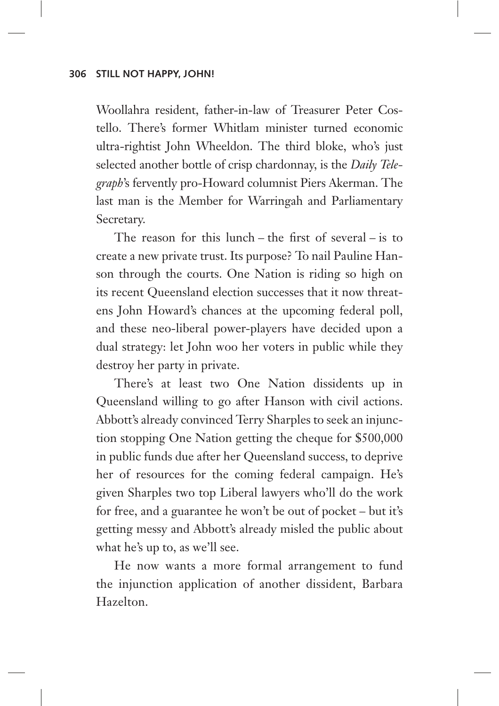Woollahra resident, father-in-law of Treasurer Peter Costello. There's former Whitlam minister turned economic ultra-rightist John Wheeldon. The third bloke, who's just selected another bottle of crisp chardonnay, is the *Daily Telegraph*'s fervently pro-Howard columnist Piers Akerman. The last man is the Member for Warringah and Parliamentary Secretary.

The reason for this lunch – the first of several – is to create a new private trust. Its purpose? To nail Pauline Hanson through the courts. One Nation is riding so high on its recent Queensland election successes that it now threatens John Howard's chances at the upcoming federal poll, and these neo-liberal power-players have decided upon a dual strategy: let John woo her voters in public while they destroy her party in private.

There's at least two One Nation dissidents up in Queensland willing to go after Hanson with civil actions. Abbott's already convinced Terry Sharples to seek an injunction stopping One Nation getting the cheque for \$500,000 in public funds due after her Queensland success, to deprive her of resources for the coming federal campaign. He's given Sharples two top Liberal lawyers who'll do the work for free, and a guarantee he won't be out of pocket – but it's getting messy and Abbott's already misled the public about what he's up to, as we'll see.

He now wants a more formal arrangement to fund the injunction application of another dissident, Barbara Hazelton.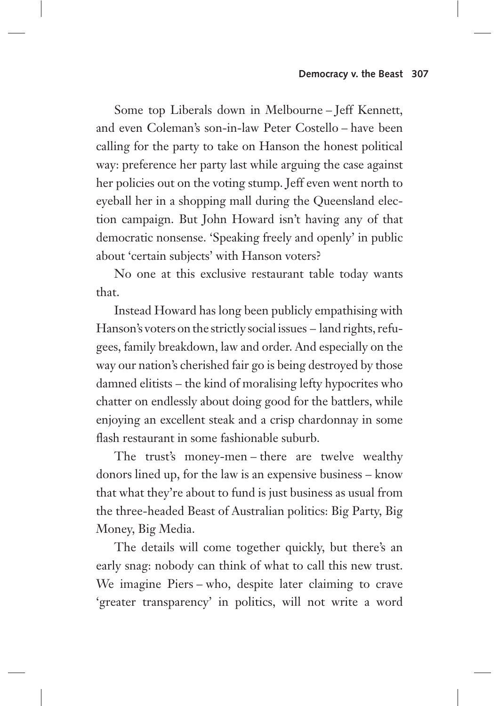Some top Liberals down in Melbourne – Jeff Kennett, and even Coleman's son-in-law Peter Costello – have been calling for the party to take on Hanson the honest political way: preference her party last while arguing the case against her policies out on the voting stump. Jeff even went north to eyeball her in a shopping mall during the Queensland election campaign. But John Howard isn't having any of that democratic nonsense. 'Speaking freely and openly' in public about 'certain subjects' with Hanson voters?

No one at this exclusive restaurant table today wants that.

Instead Howard has long been publicly empathising with Hanson's voters on the strictly social issues – land rights, refugees, family breakdown, law and order. And especially on the way our nation's cherished fair go is being destroyed by those damned elitists – the kind of moralising lefty hypocrites who chatter on endlessly about doing good for the battlers, while enjoying an excellent steak and a crisp chardonnay in some flash restaurant in some fashionable suburb.

The trust's money-men – there are twelve wealthy donors lined up, for the law is an expensive business – know that what they're about to fund is just business as usual from the three-headed Beast of Australian politics: Big Party, Big Money, Big Media.

The details will come together quickly, but there's an early snag: nobody can think of what to call this new trust. We imagine Piers – who, despite later claiming to crave 'greater transparency' in politics, will not write a word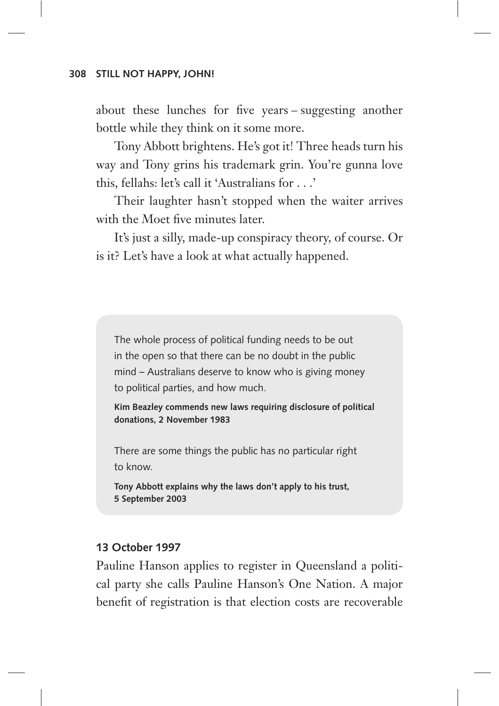about these lunches for five years – suggesting another bottle while they think on it some more.

Tony Abbott brightens. He's got it! Three heads turn his way and Tony grins his trademark grin. You're gunna love this, fellahs: let's call it 'Australians for . . .'

Their laughter hasn't stopped when the waiter arrives with the Moet five minutes later.

It's just a silly, made-up conspiracy theory, of course. Or is it? Let's have a look at what actually happened.

The whole process of political funding needs to be out in the open so that there can be no doubt in the public mind – Australians deserve to know who is giving money to political parties, and how much.

**Kim Beazley commends new laws requiring disclosure of political donations, 2 November 1983**

There are some things the public has no particular right to know.

**Tony Abbott explains why the laws don't apply to his trust, 5 September 2003**

## **13 October 1997**

Pauline Hanson applies to register in Queensland a political party she calls Pauline Hanson's One Nation. A major benefit of registration is that election costs are recoverable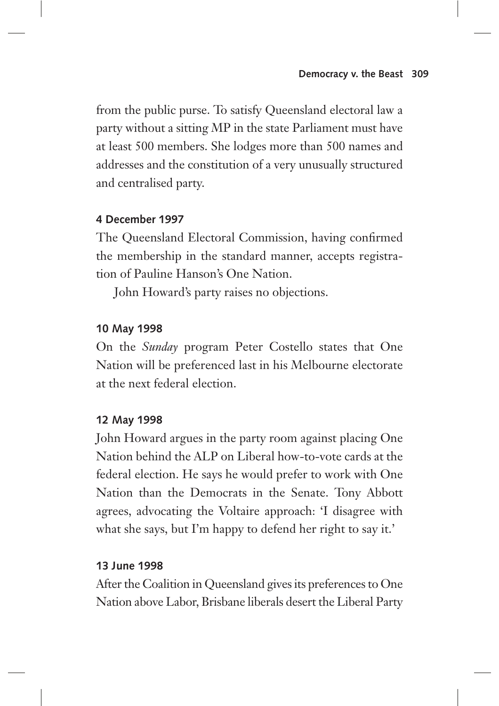from the public purse. To satisfy Queensland electoral law a party without a sitting MP in the state Parliament must have at least 500 members. She lodges more than 500 names and addresses and the constitution of a very unusually structured and centralised party.

# **4 December 1997**

The Queensland Electoral Commission, having confirmed the membership in the standard manner, accepts registration of Pauline Hanson's One Nation.

John Howard's party raises no objections.

# **10 May 1998**

On the *Sunday* program Peter Costello states that One Nation will be preferenced last in his Melbourne electorate at the next federal election.

## **12 May 1998**

John Howard argues in the party room against placing One Nation behind the ALP on Liberal how-to-vote cards at the federal election. He says he would prefer to work with One Nation than the Democrats in the Senate. Tony Abbott agrees, advocating the Voltaire approach: 'I disagree with what she says, but I'm happy to defend her right to say it.'

## **13 June 1998**

After the Coalition in Queensland gives its preferences to One Nation above Labor, Brisbane liberals desert the Liberal Party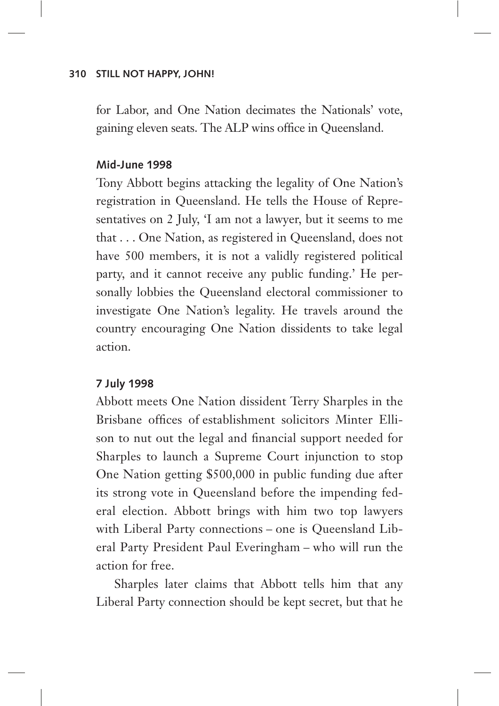for Labor, and One Nation decimates the Nationals' vote, gaining eleven seats. The ALP wins office in Queensland.

#### **Mid-June 1998**

Tony Abbott begins attacking the legality of One Nation's registration in Queensland. He tells the House of Representatives on 2 July, 'I am not a lawyer, but it seems to me that . . . One Nation, as registered in Queensland, does not have 500 members, it is not a validly registered political party, and it cannot receive any public funding.' He personally lobbies the Queensland electoral commissioner to investigate One Nation's legality. He travels around the country encouraging One Nation dissidents to take legal action.

## **7 July 1998**

Abbott meets One Nation dissident Terry Sharples in the Brisbane offices of establishment solicitors Minter Ellison to nut out the legal and financial support needed for Sharples to launch a Supreme Court injunction to stop One Nation getting \$500,000 in public funding due after its strong vote in Queensland before the impending federal election. Abbott brings with him two top lawyers with Liberal Party connections – one is Queensland Liberal Party President Paul Everingham – who will run the action for free.

Sharples later claims that Abbott tells him that any Liberal Party connection should be kept secret, but that he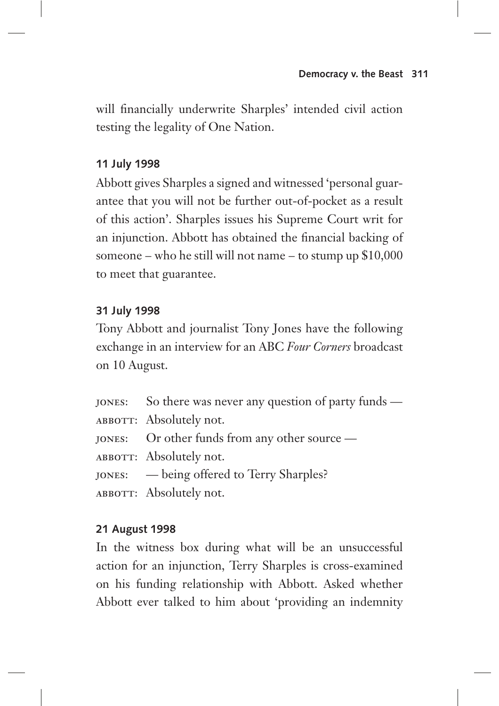will financially underwrite Sharples' intended civil action testing the legality of One Nation.

# **11 July 1998**

Abbott gives Sharples a signed and witnessed 'personal guarantee that you will not be further out-of-pocket as a result of this action'. Sharples issues his Supreme Court writ for an injunction. Abbott has obtained the financial backing of someone – who he still will not name – to stump up \$10,000 to meet that guarantee.

## **31 July 1998**

Tony Abbott and journalist Tony Jones have the following exchange in an interview for an ABC *Four Corners* broadcast on 10 August.

- jones: So there was never any question of party funds —
- ABBOTT: Absolutely not.
- jones: Or other funds from any other source —
- ABBOTT: Absolutely not.
- jones: being offered to Terry Sharples?
- ABBOTT: Absolutely not.

## **21 August 1998**

In the witness box during what will be an unsuccessful action for an injunction, Terry Sharples is cross-examined on his funding relationship with Abbott. Asked whether Abbott ever talked to him about 'providing an indemnity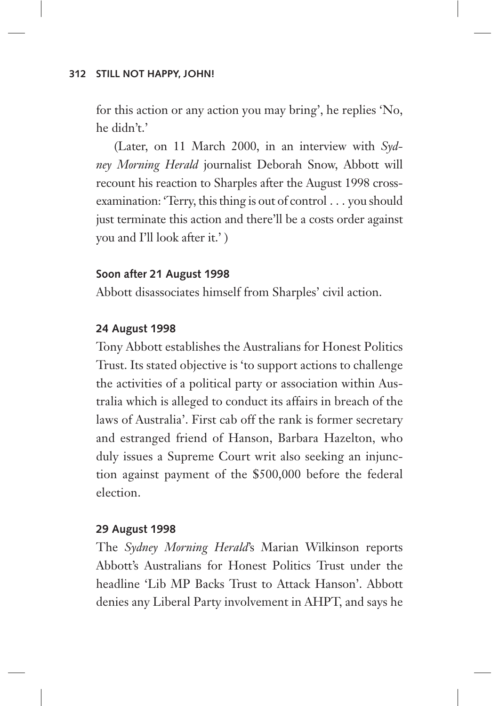for this action or any action you may bring', he replies 'No, he didn't.'

(Later, on 11 March 2000, in an interview with *Sydney Morning Herald* journalist Deborah Snow, Abbott will recount his reaction to Sharples after the August 1998 cross examination: 'Terry, this thing is out of control . . . you should just terminate this action and there'll be a costs order against you and I'll look after it.' )

## **Soon after 21 August 1998**

Abbott disassociates himself from Sharples' civil action.

## **24 August 1998**

Tony Abbott establishes the Australians for Honest Politics Trust. Its stated objective is 'to support actions to challenge the activities of a political party or association within Australia which is alleged to conduct its affairs in breach of the laws of Australia'. First cab off the rank is former secretary and estranged friend of Hanson, Barbara Hazelton, who duly issues a Supreme Court writ also seeking an injunction against payment of the \$500,000 before the federal election.

## **29 August 1998**

The *Sydney Morning Herald*'s Marian Wilkinson reports Abbott's Australians for Honest Politics Trust under the headline 'Lib MP Backs Trust to Attack Hanson'. Abbott denies any Liberal Party involvement in AHPT, and says he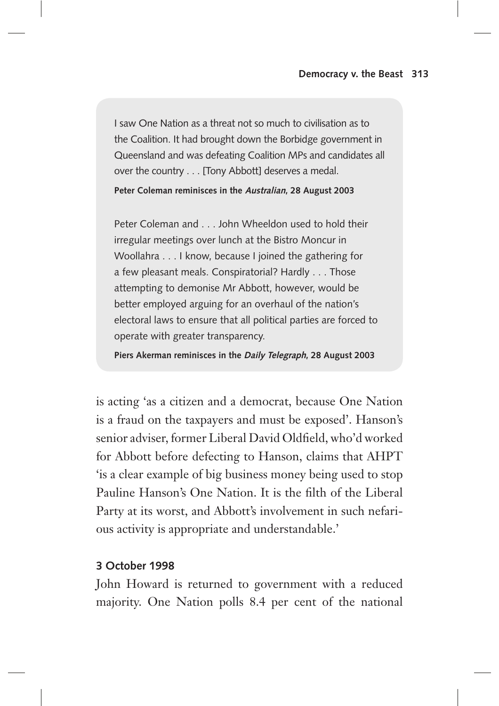I saw One Nation as a threat not so much to civilisation as to the Coalition. It had brought down the Borbidge government in Queensland and was defeating Coalition MPs and candidates all over the country . . . [Tony Abbott] deserves a medal.

**Peter Coleman reminisces in the Australian, 28 August 2003**

Peter Coleman and . . . John Wheeldon used to hold their irregular meetings over lunch at the Bistro Moncur in Woollahra . . . I know, because I joined the gathering for a few pleasant meals. Conspiratorial? Hardly . . . Those attempting to demonise Mr Abbott, however, would be better employed arguing for an overhaul of the nation's electoral laws to ensure that all political parties are forced to operate with greater transparency.

**Piers Akerman reminisces in the Daily Telegraph, 28 August 2003**

is acting 'as a citizen and a democrat, because One Nation is a fraud on the taxpayers and must be exposed'. Hanson's senior adviser, former Liberal David Oldfield, who'd worked for Abbott before defecting to Hanson, claims that AHPT 'is a clear example of big business money being used to stop Pauline Hanson's One Nation. It is the filth of the Liberal Party at its worst, and Abbott's involvement in such nefarious activity is appropriate and understandable.'

## **3 October 1998**

John Howard is returned to government with a reduced majority. One Nation polls 8.4 per cent of the national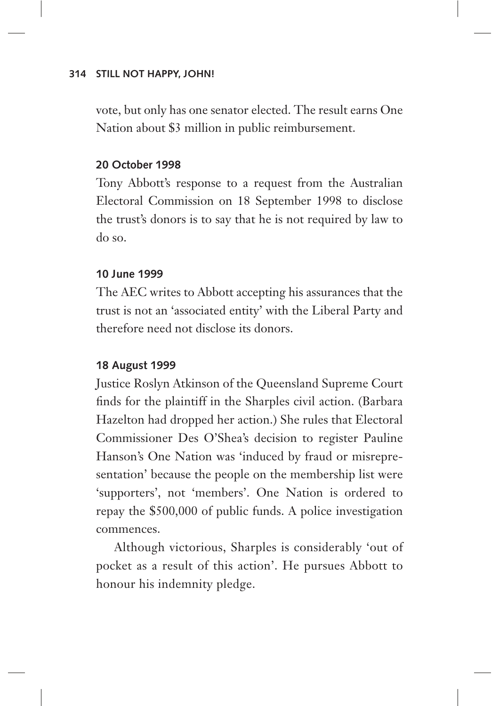vote, but only has one senator elected. The result earns One Nation about \$3 million in public reimbursement.

## **20 October 1998**

Tony Abbott's response to a request from the Australian Electoral Commission on 18 September 1998 to disclose the trust's donors is to say that he is not required by law to do so.

## **10 June 1999**

The AEC writes to Abbott accepting his assurances that the trust is not an 'associated entity' with the Liberal Party and therefore need not disclose its donors.

## **18 August 1999**

Justice Roslyn Atkinson of the Queensland Supreme Court finds for the plaintiff in the Sharples civil action. (Barbara Hazelton had dropped her action.) She rules that Electoral Commissioner Des O'Shea's decision to register Pauline Hanson's One Nation was 'induced by fraud or misrepresentation' because the people on the membership list were 'supporters', not 'members'. One Nation is ordered to repay the \$500,000 of public funds. A police investigation commences.

Although victorious, Sharples is considerably 'out of pocket as a result of this action'. He pursues Abbott to honour his indemnity pledge.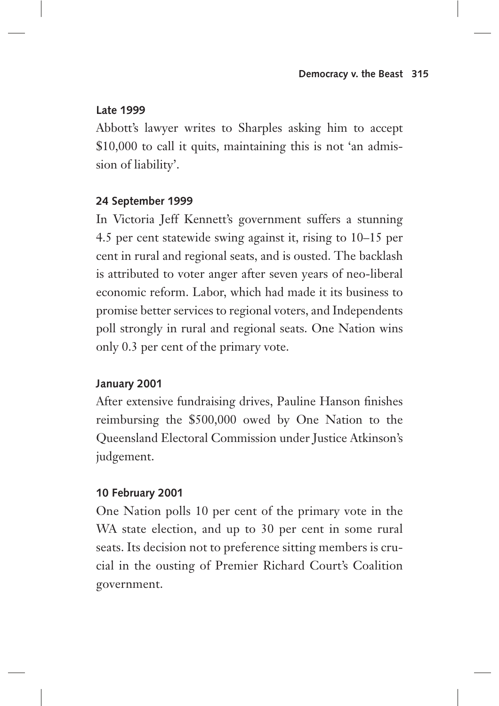## **Late 1999**

Abbott's lawyer writes to Sharples asking him to accept \$10,000 to call it quits, maintaining this is not 'an admission of liability'.

# **24 September 1999**

In Victoria Jeff Kennett's government suffers a stunning 4.5 per cent statewide swing against it, rising to 10–15 per cent in rural and regional seats, and is ousted. The backlash is attributed to voter anger after seven years of neo-liberal economic reform. Labor, which had made it its business to promise better services to regional voters, and Independents poll strongly in rural and regional seats. One Nation wins only 0.3 per cent of the primary vote.

# **January 2001**

After extensive fundraising drives, Pauline Hanson finishes reimbursing the \$500,000 owed by One Nation to the Queensland Electoral Commission under Justice Atkinson's judgement.

# **10 February 2001**

One Nation polls 10 per cent of the primary vote in the WA state election, and up to 30 per cent in some rural seats. Its decision not to preference sitting members is crucial in the ousting of Premier Richard Court's Coalition government.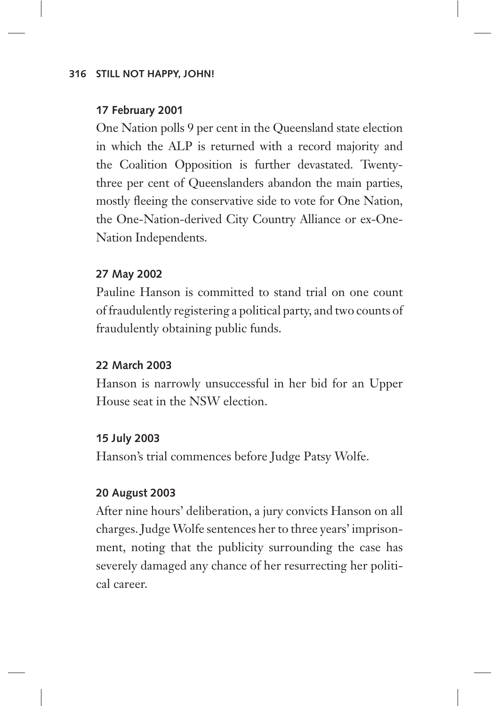## **17 February 2001**

One Nation polls 9 per cent in the Queensland state election in which the ALP is returned with a record majority and the Coalition Opposition is further devastated. Twentythree per cent of Queenslanders abandon the main parties, mostly fleeing the conservative side to vote for One Nation, the One-Nation-derived City Country Alliance or ex-One-Nation Independents.

## **27 May 2002**

Pauline Hanson is committed to stand trial on one count of fraudulently registering a political party, and two counts of fraudulently obtaining public funds.

## **22 March 2003**

Hanson is narrowly unsuccessful in her bid for an Upper House seat in the NSW election.

## **15 July 2003**

Hanson's trial commences before Judge Patsy Wolfe.

## **20 August 2003**

After nine hours' deliberation, a jury convicts Hanson on all charges. Judge Wolfe sentences her to three years' imprisonment, noting that the publicity surrounding the case has severely damaged any chance of her resurrecting her political career.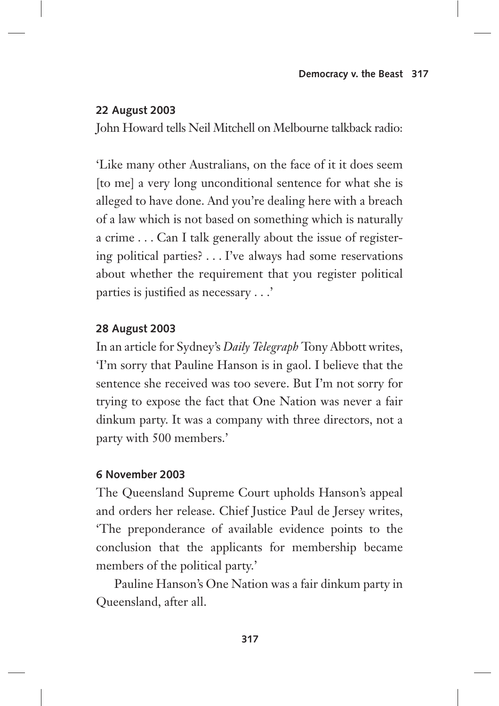## **22 August 2003**

John Howard tells Neil Mitchell on Melbourne talkback radio:

'Like many other Australians, on the face of it it does seem [to me] a very long unconditional sentence for what she is alleged to have done. And you're dealing here with a breach of a law which is not based on something which is naturally a crime . . . Can I talk generally about the issue of registering political parties? . . . I've always had some reservations about whether the requirement that you register political parties is justified as necessary . . .'

## **28 August 2003**

In an article for Sydney's *Daily Telegraph* Tony Abbott writes, 'I'm sorry that Pauline Hanson is in gaol. I believe that the sentence she received was too severe. But I'm not sorry for trying to expose the fact that One Nation was never a fair dinkum party. It was a company with three directors, not a party with 500 members.'

## **6 November 2003**

The Queensland Supreme Court upholds Hanson's appeal and orders her release. Chief Justice Paul de Jersey writes, 'The preponderance of available evidence points to the conclusion that the applicants for membership became members of the political party.'

Pauline Hanson's One Nation was a fair dinkum party in Queensland, after all.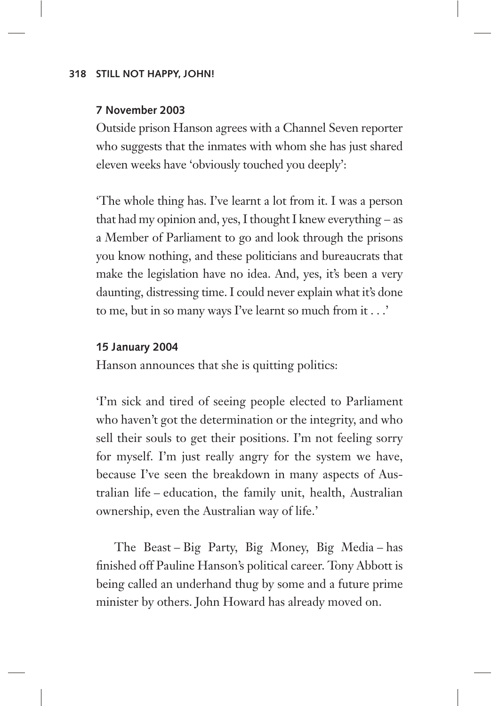## **7 November 2003**

Outside prison Hanson agrees with a Channel Seven reporter who suggests that the inmates with whom she has just shared eleven weeks have 'obviously touched you deeply':

'The whole thing has. I've learnt a lot from it. I was a person that had my opinion and, yes, I thought I knew everything – as a Member of Parliament to go and look through the prisons you know nothing, and these politicians and bureaucrats that make the legislation have no idea. And, yes, it's been a very daunting, distressing time. I could never explain what it's done to me, but in so many ways I've learnt so much from it . . .'

#### **15 January 2004**

Hanson announces that she is quitting politics:

'I'm sick and tired of seeing people elected to Parliament who haven't got the determination or the integrity, and who sell their souls to get their positions. I'm not feeling sorry for myself. I'm just really angry for the system we have, because I've seen the breakdown in many aspects of Australian life – education, the family unit, health, Australian ownership, even the Australian way of life.'

The Beast – Big Party, Big Money, Big Media – has finished off Pauline Hanson's political career. Tony Abbott is being called an underhand thug by some and a future prime minister by others. John Howard has already moved on.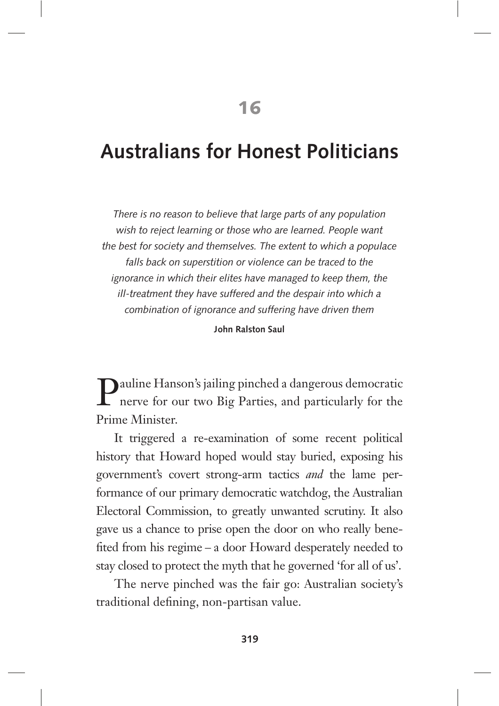# **Australians for Honest Politicians**

*There is no reason to believe that large parts of any population wish to reject learning or those who are learned. People want the best for society and themselves. The extent to which a populace falls back on superstition or violence can be traced to the ignorance in which their elites have managed to keep them, the ill-treatment they have suffered and the despair into which a combination of ignorance and suffering have driven them*

**John Ralston Saul**

Pauline Hanson's jailing pinched a dangerous democratic<br>nerve for our two Big Parties, and particularly for the nerve for our two Big Parties, and particularly for the Prime Minister.

It triggered a re-examination of some recent political history that Howard hoped would stay buried, exposing his government's covert strong-arm tactics *and* the lame performance of our primary democratic watchdog, the Australian Electoral Commission, to greatly unwanted scrutiny. It also gave us a chance to prise open the door on who really benefited from his regime – a door Howard desperately needed to stay closed to protect the myth that he governed 'for all of us'.

The nerve pinched was the fair go: Australian society's traditional defining, non-partisan value.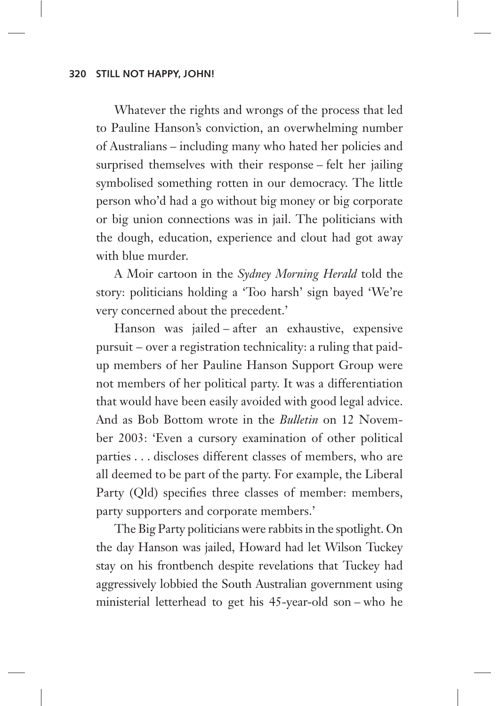Whatever the rights and wrongs of the process that led to Pauline Hanson's conviction, an overwhelming number of Australians – including many who hated her policies and surprised themselves with their response – felt her jailing symbolised something rotten in our democracy. The little person who'd had a go without big money or big corporate or big union connections was in jail. The politicians with the dough, education, experience and clout had got away with blue murder.

A Moir cartoon in the *Sydney Morning Herald* told the story: politicians holding a 'Too harsh' sign bayed 'We're very concerned about the precedent.'

Hanson was jailed – after an exhaustive, expensive pursuit – over a registration technicality: a ruling that paidup members of her Pauline Hanson Support Group were not members of her political party. It was a differentiation that would have been easily avoided with good legal advice. And as Bob Bottom wrote in the *Bulletin* on 12 November 2003: 'Even a cursory examination of other political parties . . . discloses different classes of members, who are all deemed to be part of the party. For example, the Liberal Party (Qld) specifies three classes of member: members, party supporters and corporate members.'

The Big Party politicians were rabbits in the spotlight. On the day Hanson was jailed, Howard had let Wilson Tuckey stay on his frontbench despite revelations that Tuckey had aggressively lobbied the South Australian government using ministerial letterhead to get his 45-year-old son – who he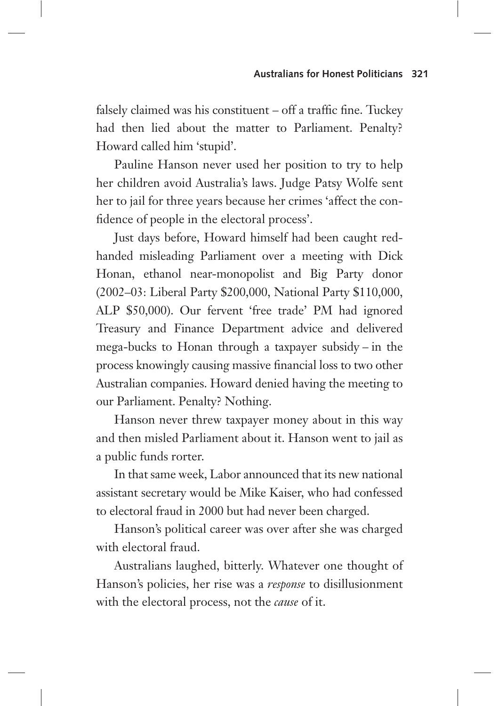falsely claimed was his constituent – off a traffic fine. Tuckey had then lied about the matter to Parliament. Penalty? Howard called him 'stupid'.

Pauline Hanson never used her position to try to help her children avoid Australia's laws. Judge Patsy Wolfe sent her to jail for three years because her crimes 'affect the confidence of people in the electoral process'.

Just days before, Howard himself had been caught redhanded misleading Parliament over a meeting with Dick Honan, ethanol near-monopolist and Big Party donor (2002–03: Liberal Party \$200,000, National Party \$110,000, ALP \$50,000). Our fervent 'free trade' PM had ignored Treasury and Finance Department advice and delivered mega-bucks to Honan through a taxpayer subsidy – in the process knowingly causing massive financial loss to two other Australian companies. Howard denied having the meeting to our Parliament. Penalty? Nothing.

Hanson never threw taxpayer money about in this way and then misled Parliament about it. Hanson went to jail as a public funds rorter.

In that same week, Labor announced that its new national assistant secretary would be Mike Kaiser, who had confessed to electoral fraud in 2000 but had never been charged.

Hanson's political career was over after she was charged with electoral fraud.

Australians laughed, bitterly. Whatever one thought of Hanson's policies, her rise was a *response* to disillusionment with the electoral process, not the *cause* of it.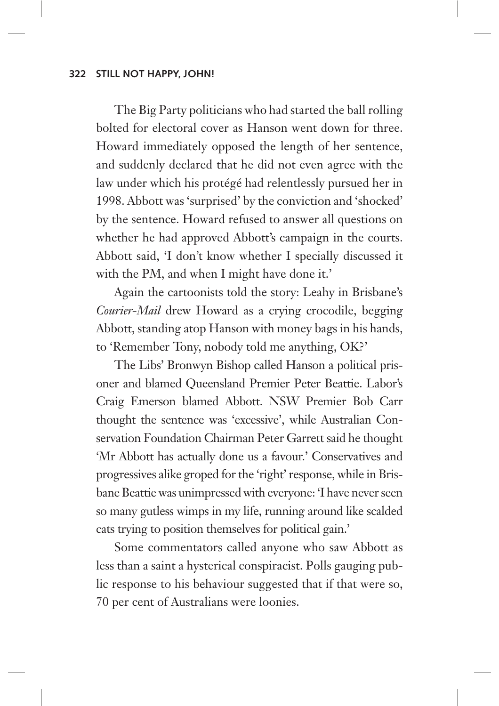The Big Party politicians who had started the ball rolling bolted for electoral cover as Hanson went down for three. Howard immediately opposed the length of her sentence, and suddenly declared that he did not even agree with the law under which his protégé had relentlessly pursued her in 1998. Abbott was 'surprised' by the conviction and 'shocked' by the sentence. Howard refused to answer all questions on whether he had approved Abbott's campaign in the courts. Abbott said, 'I don't know whether I specially discussed it with the PM, and when I might have done it.'

Again the cartoonists told the story: Leahy in Brisbane's *Courier-Mail* drew Howard as a crying crocodile, begging Abbott, standing atop Hanson with money bags in his hands, to 'Remember Tony, nobody told me anything, OK?'

The Libs' Bronwyn Bishop called Hanson a political prisoner and blamed Queensland Premier Peter Beattie. Labor's Craig Emerson blamed Abbott. NSW Premier Bob Carr thought the sentence was 'excessive', while Australian Conservation Foundation Chairman Peter Garrett said he thought 'Mr Abbott has actually done us a favour.' Conservatives and progressives alike groped for the 'right' response, while in Brisbane Beattie was unimpressed with everyone: 'I have never seen so many gutless wimps in my life, running around like scalded cats trying to position themselves for political gain.'

Some commentators called anyone who saw Abbott as less than a saint a hysterical conspiracist. Polls gauging public response to his behaviour suggested that if that were so, 70 per cent of Australians were loonies.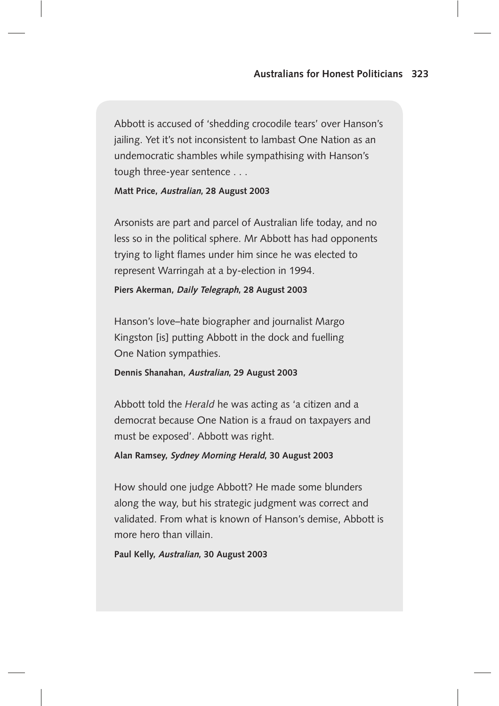Abbott is accused of 'shedding crocodile tears' over Hanson's jailing. Yet it's not inconsistent to lambast One Nation as an undemocratic shambles while sympathising with Hanson's tough three-year sentence . . .

**Matt Price, Australian, 28 August 2003**

Arsonists are part and parcel of Australian life today, and no less so in the political sphere. Mr Abbott has had opponents trying to light flames under him since he was elected to represent Warringah at a by-election in 1994.

#### **Piers Akerman, Daily Telegraph, 28 August 2003**

Hanson's love–hate biographer and journalist Margo Kingston [is] putting Abbott in the dock and fuelling One Nation sympathies.

#### **Dennis Shanahan, Australian, 29 August 2003**

Abbott told the *Herald* he was acting as 'a citizen and a democrat because One Nation is a fraud on taxpayers and must be exposed'. Abbott was right.

#### **Alan Ramsey, Sydney Morning Herald, 30 August 2003**

How should one judge Abbott? He made some blunders along the way, but his strategic judgment was correct and validated. From what is known of Hanson's demise, Abbott is more hero than villain.

**Paul Kelly, Australian, 30 August 2003**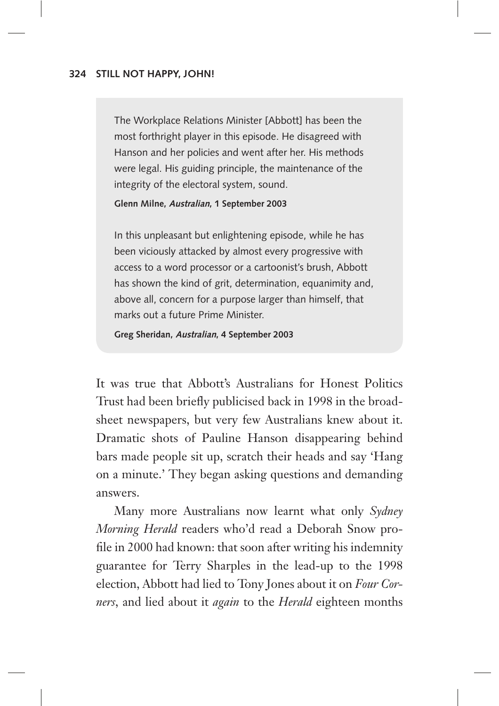The Workplace Relations Minister [Abbott] has been the most forthright player in this episode. He disagreed with Hanson and her policies and went after her. His methods were legal. His guiding principle, the maintenance of the integrity of the electoral system, sound.

**Glenn Milne, Australian, 1 September 2003**

In this unpleasant but enlightening episode, while he has been viciously attacked by almost every progressive with access to a word processor or a cartoonist's brush, Abbott has shown the kind of grit, determination, equanimity and, above all, concern for a purpose larger than himself, that marks out a future Prime Minister.

**Greg Sheridan, Australian, 4 September 2003**

It was true that Abbott's Australians for Honest Politics Trust had been briefly publicised back in 1998 in the broadsheet newspapers, but very few Australians knew about it. Dramatic shots of Pauline Hanson disappearing behind bars made people sit up, scratch their heads and say 'Hang on a minute.' They began asking questions and demanding answers.

Many more Australians now learnt what only *Sydney Morning Herald* readers who'd read a Deborah Snow profile in 2000 had known: that soon after writing his indemnity guarantee for Terry Sharples in the lead-up to the 1998 election, Abbott had lied to Tony Jones about it on *Four Corners*, and lied about it *again* to the *Herald* eighteen months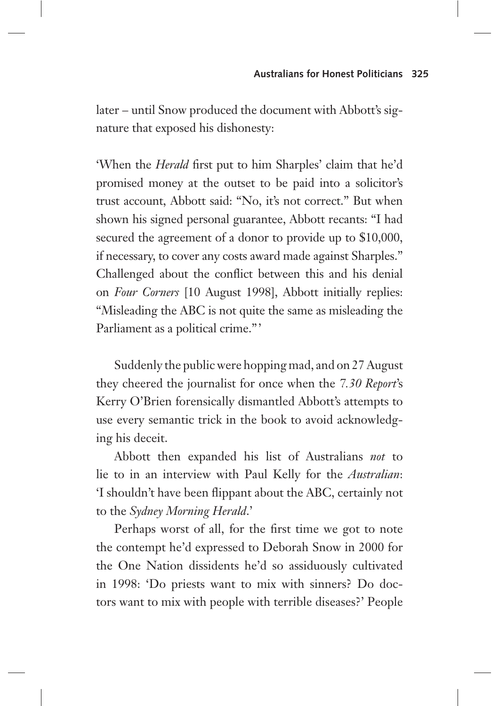later – until Snow produced the document with Abbott's signature that exposed his dishonesty:

'When the *Herald* first put to him Sharples' claim that he'd promised money at the outset to be paid into a solicitor's trust account, Abbott said: "No, it's not correct." But when shown his signed personal guarantee, Abbott recants: "I had secured the agreement of a donor to provide up to \$10,000, if necessary, to cover any costs award made against Sharples." Challenged about the conflict between this and his denial on *Four Corners* [10 August 1998], Abbott initially replies: "Misleading the ABC is not quite the same as misleading the Parliament as a political crime."

Suddenly the public were hopping mad, and on 27 August they cheered the journalist for once when the *7.30 Report*'s Kerry O'Brien forensically dismantled Abbott's attempts to use every semantic trick in the book to avoid acknowledging his deceit.

Abbott then expanded his list of Australians *not* to lie to in an interview with Paul Kelly for the *Australian*: 'I shouldn't have been flippant about the ABC, certainly not to the *Sydney Morning Herald*.'

Perhaps worst of all, for the first time we got to note the contempt he'd expressed to Deborah Snow in 2000 for the One Nation dissidents he'd so assiduously cultivated in 1998: 'Do priests want to mix with sinners? Do doctors want to mix with people with terrible diseases?' People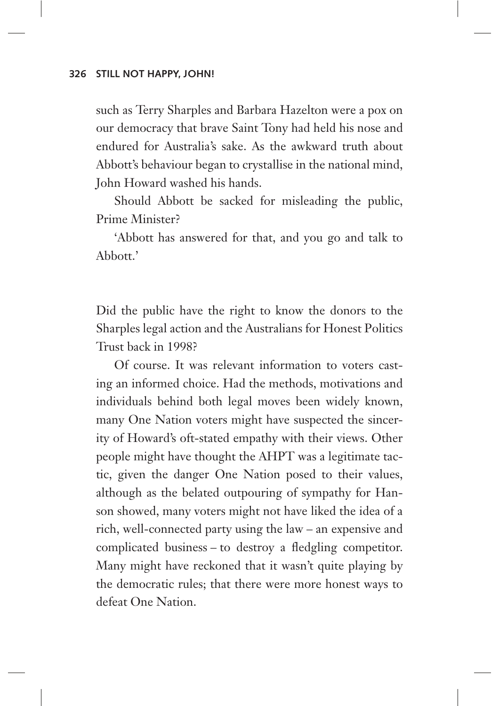such as Terry Sharples and Barbara Hazelton were a pox on our democracy that brave Saint Tony had held his nose and endured for Australia's sake. As the awkward truth about Abbott's behaviour began to crystallise in the national mind, John Howard washed his hands.

Should Abbott be sacked for misleading the public, Prime Minister?

'Abbott has answered for that, and you go and talk to Abbott.'

Did the public have the right to know the donors to the Sharples legal action and the Australians for Honest Politics Trust back in 1998?

Of course. It was relevant information to voters casting an informed choice. Had the methods, motivations and individuals behind both legal moves been widely known, many One Nation voters might have suspected the sincerity of Howard's oft-stated empathy with their views. Other people might have thought the AHPT was a legitimate tactic, given the danger One Nation posed to their values, although as the belated outpouring of sympathy for Hanson showed, many voters might not have liked the idea of a rich, well-connected party using the law – an expensive and complicated business – to destroy a fledgling competitor. Many might have reckoned that it wasn't quite playing by the democratic rules; that there were more honest ways to defeat One Nation.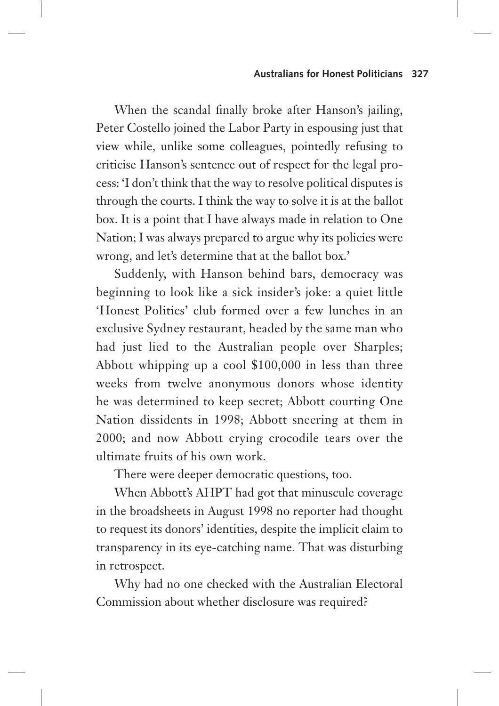When the scandal finally broke after Hanson's jailing, Peter Costello joined the Labor Party in espousing just that view while, unlike some colleagues, pointedly refusing to criticise Hanson's sentence out of respect for the legal process: 'I don't think that the way to resolve political disputes is through the courts. I think the way to solve it is at the ballot box. It is a point that I have always made in relation to One Nation; I was always prepared to argue why its policies were wrong, and let's determine that at the ballot box.'

Suddenly, with Hanson behind bars, democracy was beginning to look like a sick insider's joke: a quiet little 'Honest Politics' club formed over a few lunches in an exclusive Sydney restaurant, headed by the same man who had just lied to the Australian people over Sharples; Abbott whipping up a cool \$100,000 in less than three weeks from twelve anonymous donors whose identity he was determined to keep secret; Abbott courting One Nation dissidents in 1998; Abbott sneering at them in 2000; and now Abbott crying crocodile tears over the ultimate fruits of his own work.

There were deeper democratic questions, too.

When Abbott's AHPT had got that minuscule coverage in the broadsheets in August 1998 no reporter had thought to request its donors' identities, despite the implicit claim to transparency in its eye-catching name. That was disturbing in retrospect.

Why had no one checked with the Australian Electoral Commission about whether disclosure was required?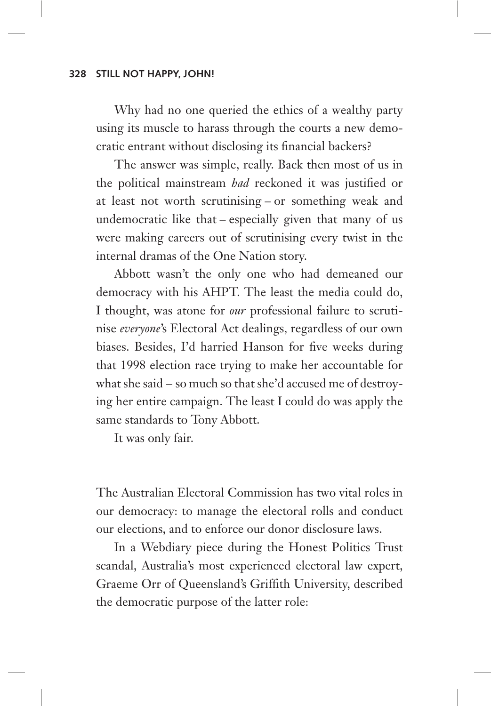Why had no one queried the ethics of a wealthy party using its muscle to harass through the courts a new democratic entrant without disclosing its financial backers?

The answer was simple, really. Back then most of us in the political mainstream *had* reckoned it was justified or at least not worth scrutinising – or something weak and undemocratic like that – especially given that many of us were making careers out of scrutinising every twist in the internal dramas of the One Nation story.

Abbott wasn't the only one who had demeaned our democracy with his AHPT. The least the media could do, I thought, was atone for *our* professional failure to scrutinise *everyone*'s Electoral Act dealings, regardless of our own biases. Besides, I'd harried Hanson for five weeks during that 1998 election race trying to make her accountable for what she said – so much so that she'd accused me of destroying her entire campaign. The least I could do was apply the same standards to Tony Abbott.

It was only fair.

The Australian Electoral Commission has two vital roles in our democracy: to manage the electoral rolls and conduct our elections, and to enforce our donor disclosure laws.

In a Webdiary piece during the Honest Politics Trust scandal, Australia's most experienced electoral law expert, Graeme Orr of Queensland's Griffith University, described the democratic purpose of the latter role: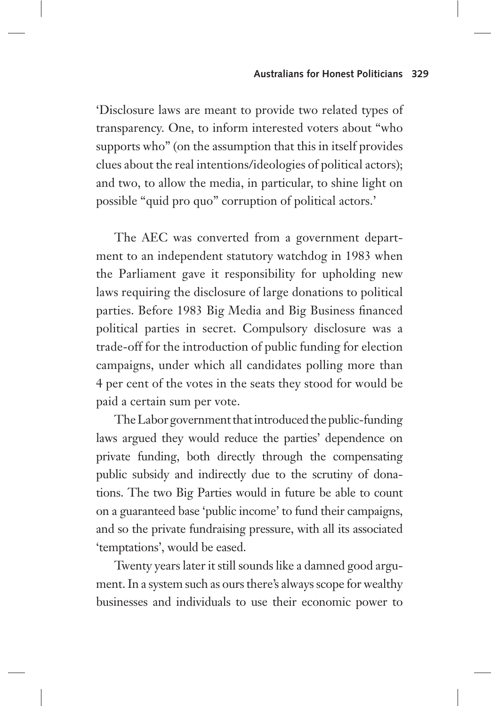'Disclosure laws are meant to provide two related types of transparency. One, to inform interested voters about "who supports who" (on the assumption that this in itself provides clues about the real intentions/ideologies of political actors); and two, to allow the media, in particular, to shine light on possible "quid pro quo" corruption of political actors.'

The AEC was converted from a government department to an independent statutory watchdog in 1983 when the Parliament gave it responsibility for upholding new laws requiring the disclosure of large donations to political parties. Before 1983 Big Media and Big Business financed political parties in secret. Compulsory disclosure was a trade-off for the introduction of public funding for election campaigns, under which all candidates polling more than 4 per cent of the votes in the seats they stood for would be paid a certain sum per vote.

The Labor government that introduced the public-funding laws argued they would reduce the parties' dependence on private funding, both directly through the compensating public subsidy and indirectly due to the scrutiny of donations. The two Big Parties would in future be able to count on a guaranteed base 'public income' to fund their campaigns, and so the private fundraising pressure, with all its associated 'temptations', would be eased.

Twenty years later it still sounds like a damned good argument. In a system such as ours there's always scope for wealthy businesses and individuals to use their economic power to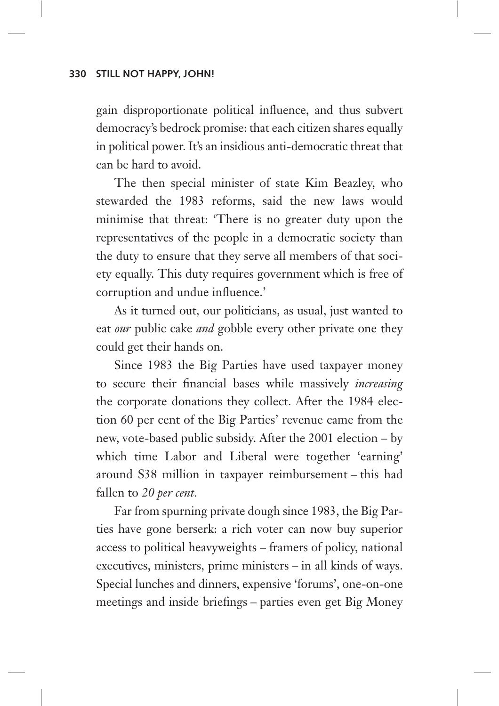gain disproportionate political influence, and thus subvert democracy's bedrock promise: that each citizen shares equally in political power. It's an insidious anti-democratic threat that can be hard to avoid.

The then special minister of state Kim Beazley, who stewarded the 1983 reforms, said the new laws would minimise that threat: 'There is no greater duty upon the representatives of the people in a democratic society than the duty to ensure that they serve all members of that society equally. This duty requires government which is free of corruption and undue influence.'

As it turned out, our politicians, as usual, just wanted to eat *our* public cake *and* gobble every other private one they could get their hands on.

Since 1983 the Big Parties have used taxpayer money to secure their financial bases while massively *increasing*  the corporate donations they collect. After the 1984 election 60 per cent of the Big Parties' revenue came from the new, vote-based public subsidy. After the 2001 election – by which time Labor and Liberal were together 'earning' around \$38 million in taxpayer reimbursement – this had fallen to *20 per cent.*

Far from spurning private dough since 1983, the Big Parties have gone berserk: a rich voter can now buy superior access to political heavyweights – framers of policy, national executives, ministers, prime ministers – in all kinds of ways. Special lunches and dinners, expensive 'forums', one-on-one meetings and inside briefings – parties even get Big Money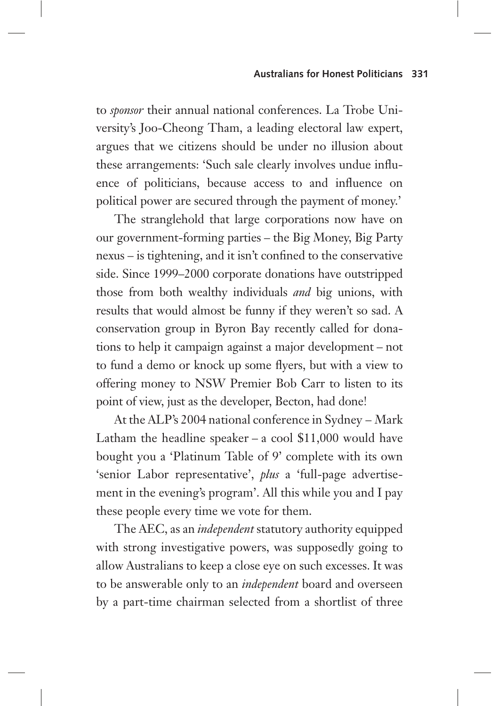#### **Australians for Honest Politicians 331**

to *sponsor* their annual national conferences. La Trobe University's Joo-Cheong Tham, a leading electoral law expert, argues that we citizens should be under no illusion about these arrangements: 'Such sale clearly involves undue influence of politicians, because access to and influence on political power are secured through the payment of money.'

The stranglehold that large corporations now have on our government-forming parties – the Big Money, Big Party nexus – is tightening, and it isn't confined to the conservative side. Since 1999–2000 corporate donations have outstripped those from both wealthy individuals *and* big unions, with results that would almost be funny if they weren't so sad. A conservation group in Byron Bay recently called for donations to help it campaign against a major development – not to fund a demo or knock up some flyers, but with a view to offering money to NSW Premier Bob Carr to listen to its point of view, just as the developer, Becton, had done!

At the ALP's 2004 national conference in Sydney – Mark Latham the headline speaker – a cool  $$11,000$  would have bought you a 'Platinum Table of 9' complete with its own 'senior Labor representative', *plus* a 'full-page advertisement in the evening's program'. All this while you and I pay these people every time we vote for them.

The AEC, as an *independent* statutory authority equipped with strong investigative powers, was supposedly going to allow Australians to keep a close eye on such excesses. It was to be answerable only to an *independent* board and overseen by a part-time chairman selected from a shortlist of three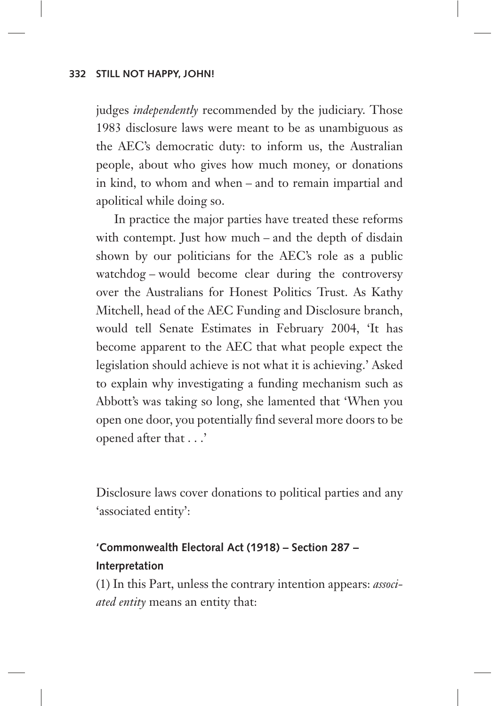judges *independently* recommended by the judiciary. Those 1983 disclosure laws were meant to be as unambiguous as the AEC's democratic duty: to inform us, the Australian people, about who gives how much money, or donations in kind, to whom and when – and to remain impartial and apolitical while doing so.

In practice the major parties have treated these reforms with contempt. Just how much – and the depth of disdain shown by our politicians for the AEC's role as a public watchdog – would become clear during the controversy over the Australians for Honest Politics Trust. As Kathy Mitchell, head of the AEC Funding and Disclosure branch, would tell Senate Estimates in February 2004, 'It has become apparent to the AEC that what people expect the legislation should achieve is not what it is achieving.' Asked to explain why investigating a funding mechanism such as Abbott's was taking so long, she lamented that 'When you open one door, you potentially find several more doors to be opened after that . . .'

Disclosure laws cover donations to political parties and any 'associated entity':

# **'Commonwealth Electoral Act (1918) – Section 287 – Interpretation**

(1) In this Part, unless the contrary intention appears: *associated entity* means an entity that: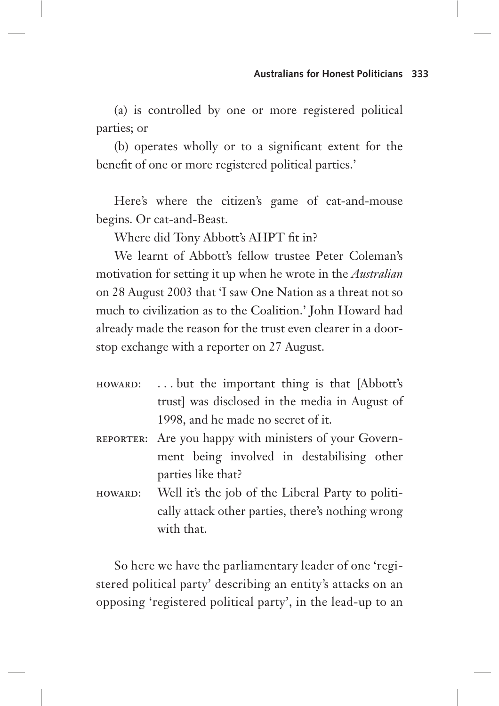(a) is controlled by one or more registered political parties; or

(b) operates wholly or to a significant extent for the benefit of one or more registered political parties.'

Here's where the citizen's game of cat-and-mouse begins. Or cat-and-Beast.

Where did Tony Abbott's AHPT fit in?

We learnt of Abbott's fellow trustee Peter Coleman's motivation for setting it up when he wrote in the *Australian*  on 28 August 2003 that 'I saw One Nation as a threat not so much to civilization as to the Coalition.' John Howard had already made the reason for the trust even clearer in a doorstop exchange with a reporter on 27 August.

- howard: . . . but the important thing is that [Abbott's trust] was disclosed in the media in August of 1998, and he made no secret of it.
- REPORTER: Are you happy with ministers of your Government being involved in destabilising other parties like that?
- HOWARD: Well it's the job of the Liberal Party to politically attack other parties, there's nothing wrong with that.

So here we have the parliamentary leader of one 'registered political party' describing an entity's attacks on an opposing 'registered political party', in the lead-up to an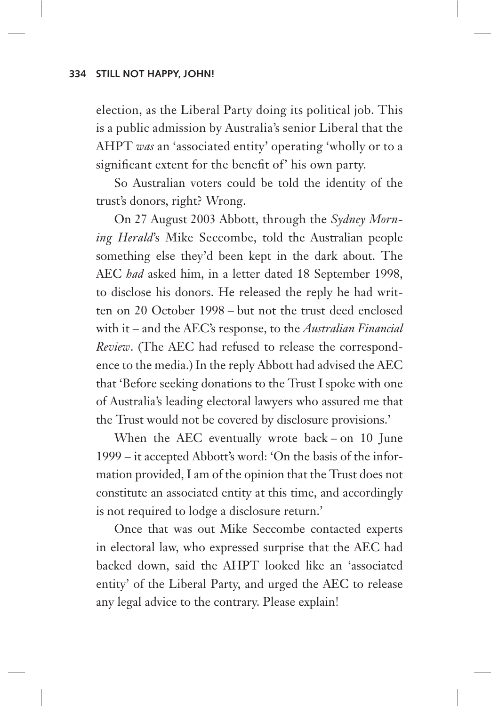election, as the Liberal Party doing its political job. This is a public admission by Australia's senior Liberal that the AHPT *was* an 'associated entity' operating 'wholly or to a significant extent for the benefit of' his own party.

So Australian voters could be told the identity of the trust's donors, right? Wrong.

On 27 August 2003 Abbott, through the *Sydney Morning Herald*'s Mike Seccombe, told the Australian people something else they'd been kept in the dark about. The AEC *had* asked him, in a letter dated 18 September 1998, to disclose his donors. He released the reply he had written on 20 October 1998 – but not the trust deed enclosed with it – and the AEC's response, to the *Australian Financial Review*. (The AEC had refused to release the correspondence to the media.) In the reply Abbott had advised the AEC that 'Before seeking donations to the Trust I spoke with one of Australia's leading electoral lawyers who assured me that the Trust would not be covered by disclosure provisions.'

When the AEC eventually wrote back – on 10 June 1999 – it accepted Abbott's word: 'On the basis of the information provided, I am of the opinion that the Trust does not constitute an associated entity at this time, and accordingly is not required to lodge a disclosure return.'

Once that was out Mike Seccombe contacted experts in electoral law, who expressed surprise that the AEC had backed down, said the AHPT looked like an 'associated entity' of the Liberal Party, and urged the AEC to release any legal advice to the contrary. Please explain!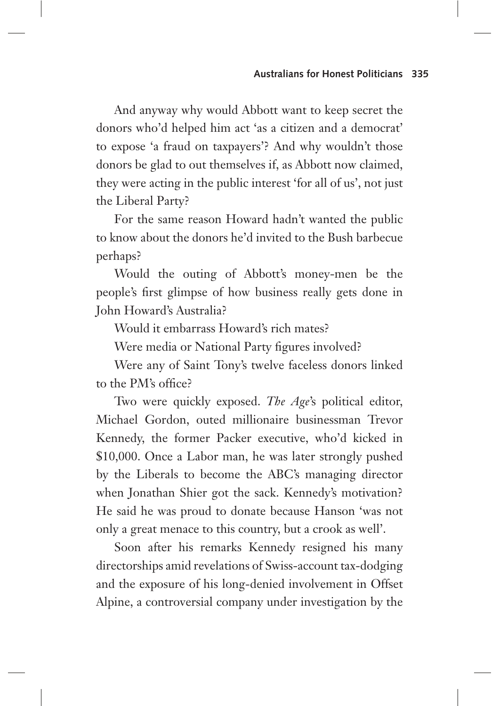And anyway why would Abbott want to keep secret the donors who'd helped him act 'as a citizen and a democrat' to expose 'a fraud on taxpayers'? And why wouldn't those donors be glad to out themselves if, as Abbott now claimed, they were acting in the public interest 'for all of us', not just the Liberal Party?

For the same reason Howard hadn't wanted the public to know about the donors he'd invited to the Bush barbecue perhaps?

Would the outing of Abbott's money-men be the people's first glimpse of how business really gets done in John Howard's Australia?

Would it embarrass Howard's rich mates?

Were media or National Party figures involved?

Were any of Saint Tony's twelve faceless donors linked to the PM's office?

Two were quickly exposed. *The Age*'s political editor, Michael Gordon, outed millionaire businessman Trevor Kennedy, the former Packer executive, who'd kicked in \$10,000. Once a Labor man, he was later strongly pushed by the Liberals to become the ABC's managing director when Jonathan Shier got the sack. Kennedy's motivation? He said he was proud to donate because Hanson 'was not only a great menace to this country, but a crook as well'.

Soon after his remarks Kennedy resigned his many directorships amid revelations of Swiss-account tax-dodging and the exposure of his long-denied involvement in Offset Alpine, a controversial company under investigation by the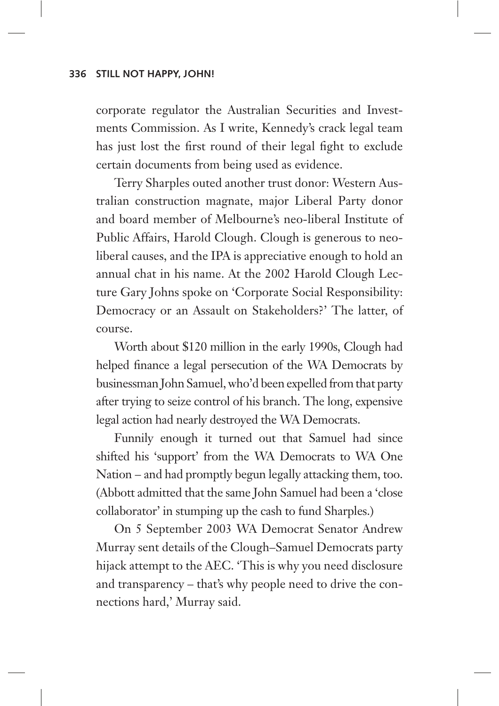corporate regulator the Australian Securities and Investments Commission. As I write, Kennedy's crack legal team has just lost the first round of their legal fight to exclude certain documents from being used as evidence.

Terry Sharples outed another trust donor: Western Australian construction magnate, major Liberal Party donor and board member of Melbourne's neo-liberal Institute of Public Affairs, Harold Clough. Clough is generous to neoliberal causes, and the IPA is appreciative enough to hold an annual chat in his name. At the 2002 Harold Clough Lecture Gary Johns spoke on 'Corporate Social Responsibility: Democracy or an Assault on Stakeholders?' The latter, of course.

Worth about \$120 million in the early 1990s, Clough had helped finance a legal persecution of the WA Democrats by businessman John Samuel, who'd been expelled from that party after trying to seize control of his branch. The long, expensive legal action had nearly destroyed the WA Democrats.

Funnily enough it turned out that Samuel had since shifted his 'support' from the WA Democrats to WA One Nation – and had promptly begun legally attacking them, too. (Abbott admitted that the same John Samuel had been a 'close collaborator' in stumping up the cash to fund Sharples.)

On 5 September 2003 WA Democrat Senator Andrew Murray sent details of the Clough–Samuel Democrats party hijack attempt to the AEC. 'This is why you need disclosure and transparency – that's why people need to drive the connections hard,' Murray said.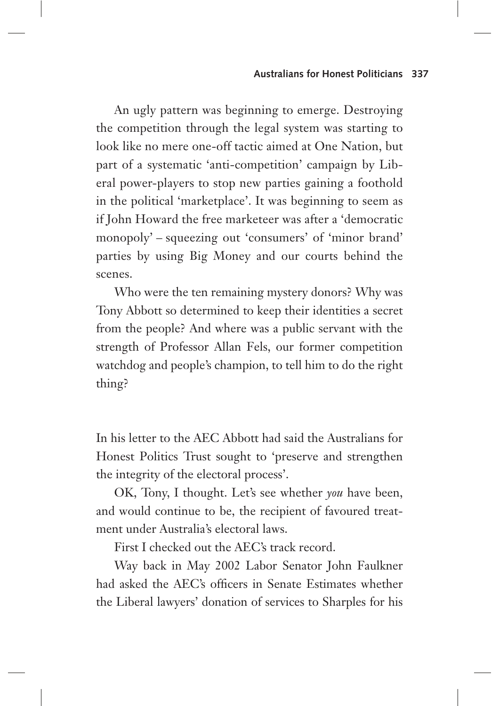An ugly pattern was beginning to emerge. Destroying the competition through the legal system was starting to look like no mere one-off tactic aimed at One Nation, but part of a systematic 'anti-competition' campaign by Liberal power-players to stop new parties gaining a foothold in the political 'marketplace'. It was beginning to seem as if John Howard the free marketeer was after a 'democratic monopoly' – squeezing out 'consumers' of 'minor brand' parties by using Big Money and our courts behind the scenes.

Who were the ten remaining mystery donors? Why was Tony Abbott so determined to keep their identities a secret from the people? And where was a public servant with the strength of Professor Allan Fels, our former competition watchdog and people's champion, to tell him to do the right thing?

In his letter to the AEC Abbott had said the Australians for Honest Politics Trust sought to 'preserve and strengthen the integrity of the electoral process'.

OK, Tony, I thought. Let's see whether *you* have been, and would continue to be, the recipient of favoured treatment under Australia's electoral laws.

First I checked out the AEC's track record.

Way back in May 2002 Labor Senator John Faulkner had asked the AEC's officers in Senate Estimates whether the Liberal lawyers' donation of services to Sharples for his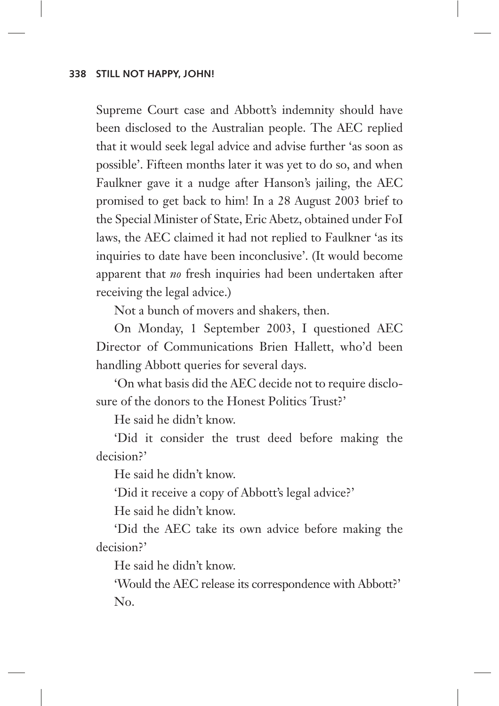Supreme Court case and Abbott's indemnity should have been disclosed to the Australian people. The AEC replied that it would seek legal advice and advise further 'as soon as possible'. Fifteen months later it was yet to do so, and when Faulkner gave it a nudge after Hanson's jailing, the AEC promised to get back to him! In a 28 August 2003 brief to the Special Minister of State, Eric Abetz, obtained under FoI laws, the AEC claimed it had not replied to Faulkner 'as its inquiries to date have been inconclusive'. (It would become apparent that *no* fresh inquiries had been undertaken after receiving the legal advice.)

Not a bunch of movers and shakers, then.

On Monday, 1 September 2003, I questioned AEC Director of Communications Brien Hallett, who'd been handling Abbott queries for several days.

'On what basis did the AEC decide not to require disclosure of the donors to the Honest Politics Trust?'

He said he didn't know.

'Did it consider the trust deed before making the decision?'

He said he didn't know.

'Did it receive a copy of Abbott's legal advice?'

He said he didn't know.

'Did the AEC take its own advice before making the decision?'

He said he didn't know.

'Would the AEC release its correspondence with Abbott?' No.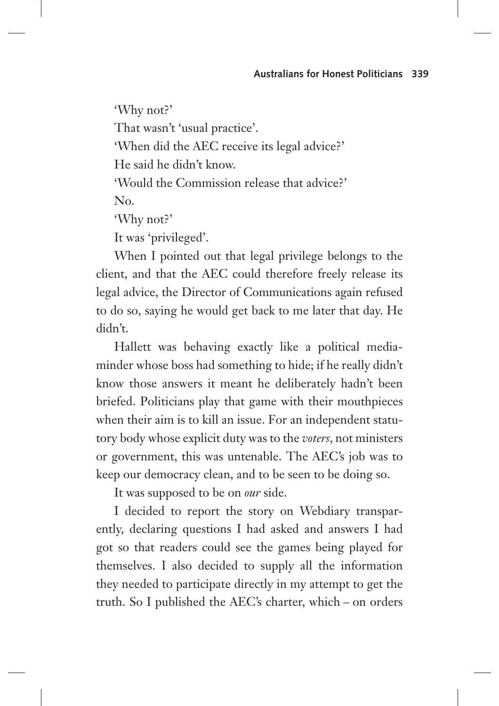'Why not?' That wasn't 'usual practice'. 'When did the AEC receive its legal advice?' He said he didn't know. 'Would the Commission release that advice?' No. 'Why not?' It was 'privileged'.

When I pointed out that legal privilege belongs to the client, and that the AEC could therefore freely release its legal advice, the Director of Communications again refused to do so, saying he would get back to me later that day. He didn't.

Hallett was behaving exactly like a political mediaminder whose boss had something to hide; if he really didn't know those answers it meant he deliberately hadn't been briefed. Politicians play that game with their mouthpieces when their aim is to kill an issue. For an independent statutory body whose explicit duty was to the *voters*, not ministers or government, this was untenable. The AEC's job was to keep our democracy clean, and to be seen to be doing so.

It was supposed to be on *our* side.

I decided to report the story on Webdiary transparently, declaring questions I had asked and answers I had got so that readers could see the games being played for themselves. I also decided to supply all the information they needed to participate directly in my attempt to get the truth. So I published the AEC's charter, which – on orders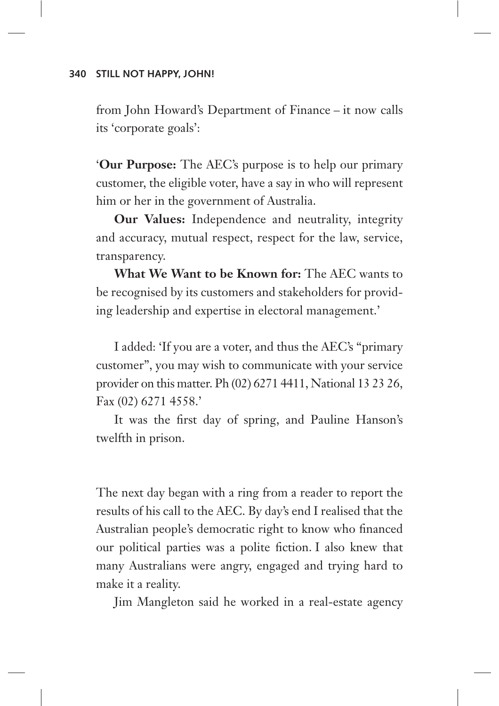from John Howard's Department of Finance – it now calls its 'corporate goals':

'**Our Purpose:** The AEC's purpose is to help our primary customer, the eligible voter, have a say in who will represent him or her in the government of Australia.

**Our Values:** Independence and neutrality, integrity and accuracy, mutual respect, respect for the law, service, transparency.

**What We Want to be Known for:** The AEC wants to be recognised by its customers and stakeholders for providing leadership and expertise in electoral management.'

I added: 'If you are a voter, and thus the AEC's "primary customer", you may wish to communicate with your service provider on this matter. Ph (02) 6271 4411, National 13 23 26, Fax (02) 6271 4558.'

It was the first day of spring, and Pauline Hanson's twelfth in prison.

The next day began with a ring from a reader to report the results of his call to the AEC. By day's end I realised that the Australian people's democratic right to know who financed our political parties was a polite fiction. I also knew that many Australians were angry, engaged and trying hard to make it a reality.

Jim Mangleton said he worked in a real-estate agency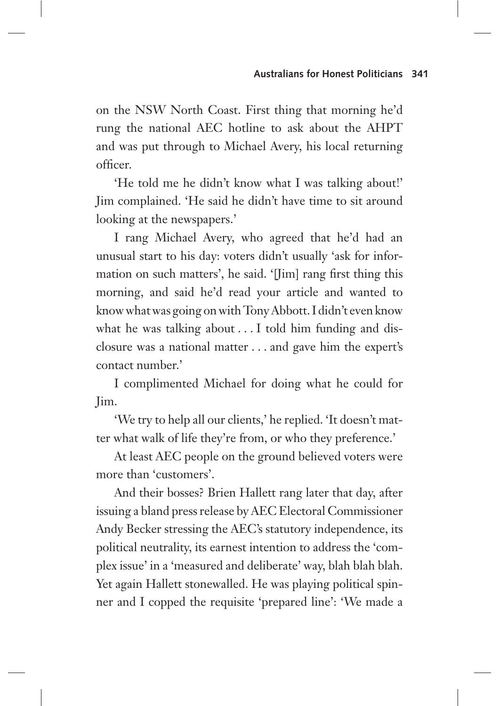on the NSW North Coast. First thing that morning he'd rung the national AEC hotline to ask about the AHPT and was put through to Michael Avery, his local returning officer.

'He told me he didn't know what I was talking about!' Jim complained. 'He said he didn't have time to sit around looking at the newspapers.'

I rang Michael Avery, who agreed that he'd had an unusual start to his day: voters didn't usually 'ask for information on such matters', he said. '[Jim] rang first thing this morning, and said he'd read your article and wanted to know what was going on with Tony Abbott. I didn't even know what he was talking about . . . I told him funding and disclosure was a national matter . . . and gave him the expert's contact number.'

I complimented Michael for doing what he could for Jim.

'We try to help all our clients,' he replied. 'It doesn't matter what walk of life they're from, or who they preference.'

At least AEC people on the ground believed voters were more than 'customers'.

And their bosses? Brien Hallett rang later that day, after issuing a bland press release by AEC Electoral Commissioner Andy Becker stressing the AEC's statutory independence, its political neutrality, its earnest intention to address the 'complex issue' in a 'measured and deliberate' way, blah blah blah. Yet again Hallett stonewalled. He was playing political spinner and I copped the requisite 'prepared line': 'We made a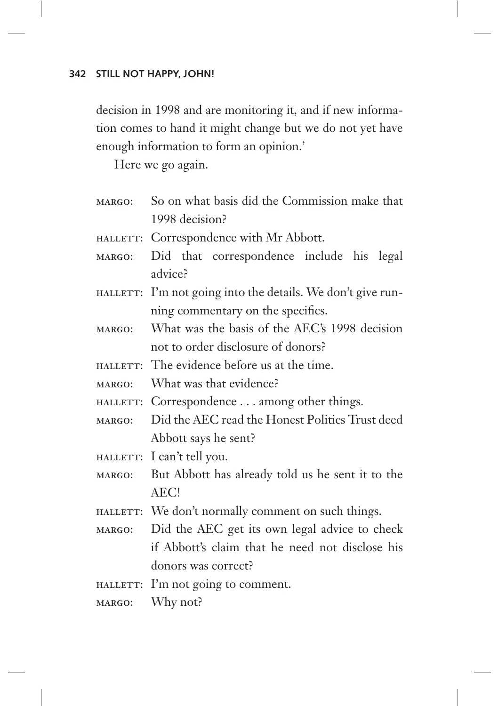decision in 1998 and are monitoring it, and if new information comes to hand it might change but we do not yet have enough information to form an opinion.'

Here we go again.

- margo: So on what basis did the Commission make that 1998 decision?
- HALLETT: Correspondence with Mr Abbott.
- margo: Did that correspondence include his legal advice?
- HALLETT: I'm not going into the details. We don't give running commentary on the specifics.
- margo: What was the basis of the AEC's 1998 decision not to order disclosure of donors?
- hallett: The evidence before us at the time.

margo: What was that evidence?

hallett: Correspondence . . . among other things.

- margo: Did the AEC read the Honest Politics Trust deed Abbott says he sent?
- HALLETT: I can't tell you.
- margo: But Abbott has already told us he sent it to the AEC!
- HALLETT: We don't normally comment on such things.
- margo: Did the AEC get its own legal advice to check if Abbott's claim that he need not disclose his donors was correct?
- HALLETT: I'm not going to comment.
- margo: Why not?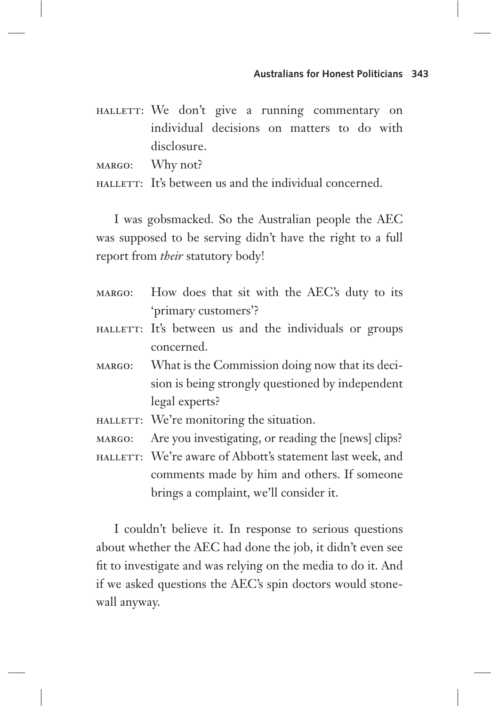HALLETT: We don't give a running commentary on individual decisions on matters to do with disclosure.

margo: Why not?

hallett: It's between us and the individual concerned.

I was gobsmacked. So the Australian people the AEC was supposed to be serving didn't have the right to a full report from *their* statutory body!

- margo: How does that sit with the AEC's duty to its 'primary customers'?
- HALLETT: It's between us and the individuals or groups concerned.
- margo: What is the Commission doing now that its decision is being strongly questioned by independent legal experts?
- HALLETT: We're monitoring the situation.
- margo: Are you investigating, or reading the [news] clips?
- HALLETT: We're aware of Abbott's statement last week, and comments made by him and others. If someone brings a complaint, we'll consider it.

I couldn't believe it. In response to serious questions about whether the AEC had done the job, it didn't even see fit to investigate and was relying on the media to do it. And if we asked questions the AEC's spin doctors would stonewall anyway.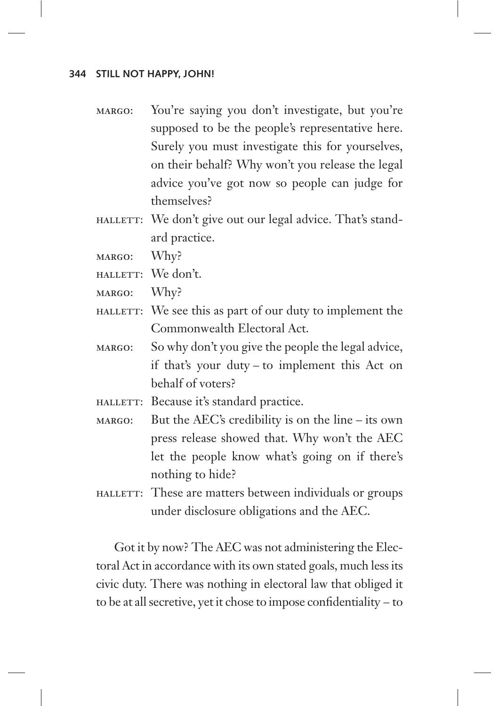- margo: You're saying you don't investigate, but you're supposed to be the people's representative here. Surely you must investigate this for yourselves, on their behalf? Why won't you release the legal advice you've got now so people can judge for themselves?
- HALLETT: We don't give out our legal advice. That's standard practice.
- margo: Why?
- HALLETT: We don't.
- margo: Why?
- HALLETT: We see this as part of our duty to implement the Commonwealth Electoral Act.
- margo: So why don't you give the people the legal advice, if that's your duty – to implement this Act on behalf of voters?
- HALLETT: Because it's standard practice.
- margo: But the AEC's credibility is on the line its own press release showed that. Why won't the AEC let the people know what's going on if there's nothing to hide?
- hallett: These are matters between individuals or groups under disclosure obligations and the AEC.

Got it by now? The AEC was not administering the Electoral Act in accordance with its own stated goals, much less its civic duty. There was nothing in electoral law that obliged it to be at all secretive, yet it chose to impose confidentiality – to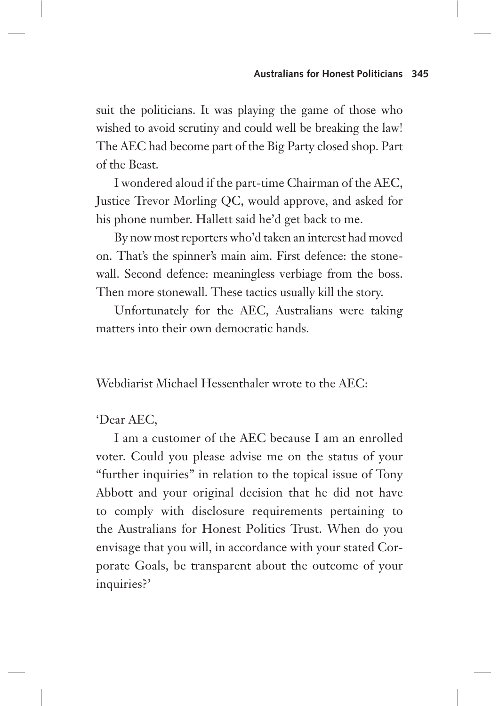suit the politicians. It was playing the game of those who wished to avoid scrutiny and could well be breaking the law! The AEC had become part of the Big Party closed shop. Part of the Beast.

I wondered aloud if the part-time Chairman of the AEC, Justice Trevor Morling QC, would approve, and asked for his phone number. Hallett said he'd get back to me.

By now most reporters who'd taken an interest had moved on. That's the spinner's main aim. First defence: the stonewall. Second defence: meaningless verbiage from the boss. Then more stonewall. These tactics usually kill the story.

Unfortunately for the AEC, Australians were taking matters into their own democratic hands.

Webdiarist Michael Hessenthaler wrote to the AEC:

# 'Dear AEC,

I am a customer of the AEC because I am an enrolled voter. Could you please advise me on the status of your "further inquiries" in relation to the topical issue of Tony Abbott and your original decision that he did not have to comply with disclosure requirements pertaining to the Australians for Honest Politics Trust. When do you envisage that you will, in accordance with your stated Corporate Goals, be transparent about the outcome of your inquiries?'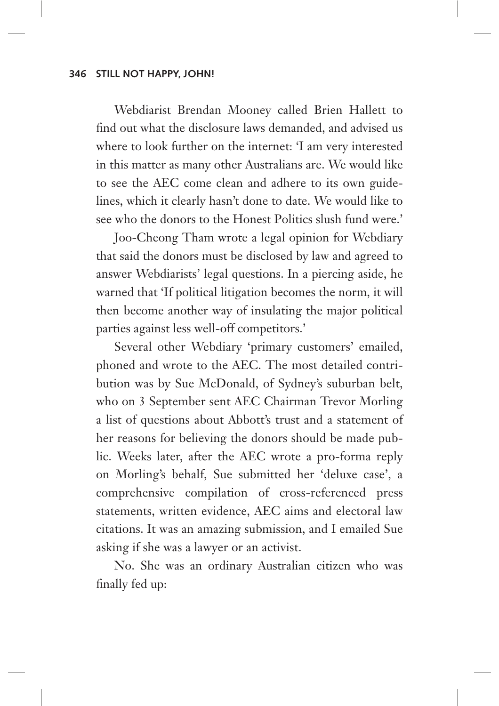Webdiarist Brendan Mooney called Brien Hallett to find out what the disclosure laws demanded, and advised us where to look further on the internet: 'I am very interested in this matter as many other Australians are. We would like to see the AEC come clean and adhere to its own guidelines, which it clearly hasn't done to date. We would like to see who the donors to the Honest Politics slush fund were.'

Joo-Cheong Tham wrote a legal opinion for Webdiary that said the donors must be disclosed by law and agreed to answer Webdiarists' legal questions. In a piercing aside, he warned that 'If political litigation becomes the norm, it will then become another way of insulating the major political parties against less well-off competitors.'

Several other Webdiary 'primary customers' emailed, phoned and wrote to the AEC. The most detailed contribution was by Sue McDonald, of Sydney's suburban belt, who on 3 September sent AEC Chairman Trevor Morling a list of questions about Abbott's trust and a statement of her reasons for believing the donors should be made public. Weeks later, after the AEC wrote a pro-forma reply on Morling's behalf, Sue submitted her 'deluxe case', a comprehensive compilation of cross-referenced press statements, written evidence, AEC aims and electoral law citations. It was an amazing submission, and I emailed Sue asking if she was a lawyer or an activist.

No. She was an ordinary Australian citizen who was finally fed up: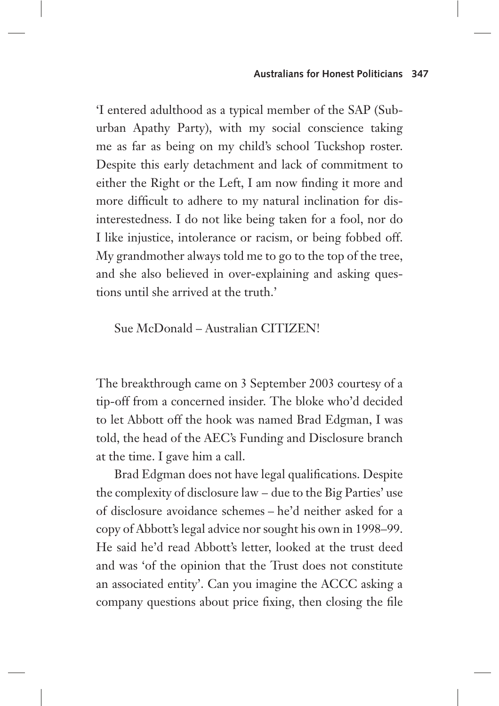#### **Australians for Honest Politicians 347**

'I entered adulthood as a typical member of the SAP (Suburban Apathy Party), with my social conscience taking me as far as being on my child's school Tuckshop roster. Despite this early detachment and lack of commitment to either the Right or the Left, I am now finding it more and more difficult to adhere to my natural inclination for disinterestedness. I do not like being taken for a fool, nor do I like injustice, intolerance or racism, or being fobbed off. My grandmother always told me to go to the top of the tree, and she also believed in over-explaining and asking questions until she arrived at the truth.'

# Sue McDonald – Australian CITIZEN!

The breakthrough came on 3 September 2003 courtesy of a tip-off from a concerned insider. The bloke who'd decided to let Abbott off the hook was named Brad Edgman, I was told, the head of the AEC's Funding and Disclosure branch at the time. I gave him a call.

Brad Edgman does not have legal qualifications. Despite the complexity of disclosure law – due to the Big Parties' use of disclosure avoidance schemes – he'd neither asked for a copy of Abbott's legal advice nor sought his own in 1998–99. He said he'd read Abbott's letter, looked at the trust deed and was 'of the opinion that the Trust does not constitute an associated entity'. Can you imagine the ACCC asking a company questions about price fixing, then closing the file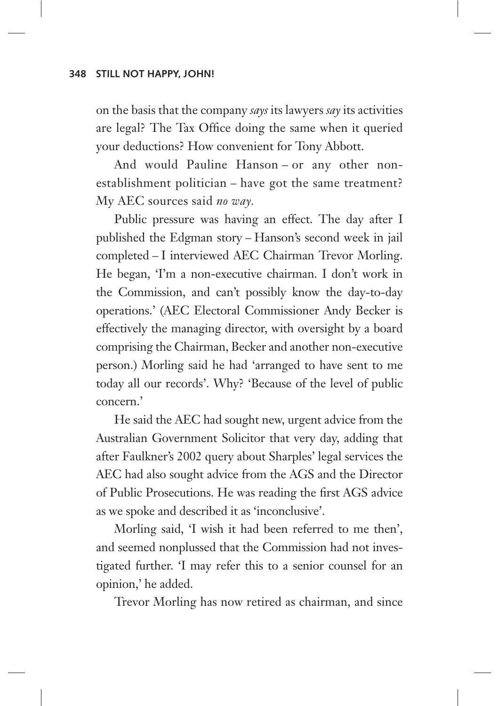on the basis that the company *says* its lawyers *say* its activities are legal? The Tax Office doing the same when it queried your deductions? How convenient for Tony Abbott.

And would Pauline Hanson – or any other nonestablishment politician – have got the same treatment? My AEC sources said *no way.* 

Public pressure was having an effect. The day after I published the Edgman story – Hanson's second week in jail completed – I interviewed AEC Chairman Trevor Morling. He began, 'I'm a non-executive chairman. I don't work in the Commission, and can't possibly know the day-to-day operations.' (AEC Electoral Commissioner Andy Becker is effectively the managing director, with oversight by a board comprising the Chairman, Becker and another non-executive person.) Morling said he had 'arranged to have sent to me today all our records'. Why? 'Because of the level of public concern.'

He said the AEC had sought new, urgent advice from the Australian Government Solicitor that very day, adding that after Faulkner's 2002 query about Sharples' legal services the AEC had also sought advice from the AGS and the Director of Public Prosecutions. He was reading the first AGS advice as we spoke and described it as 'inconclusive'.

Morling said, 'I wish it had been referred to me then', and seemed nonplussed that the Commission had not investigated further. 'I may refer this to a senior counsel for an opinion,' he added.

Trevor Morling has now retired as chairman, and since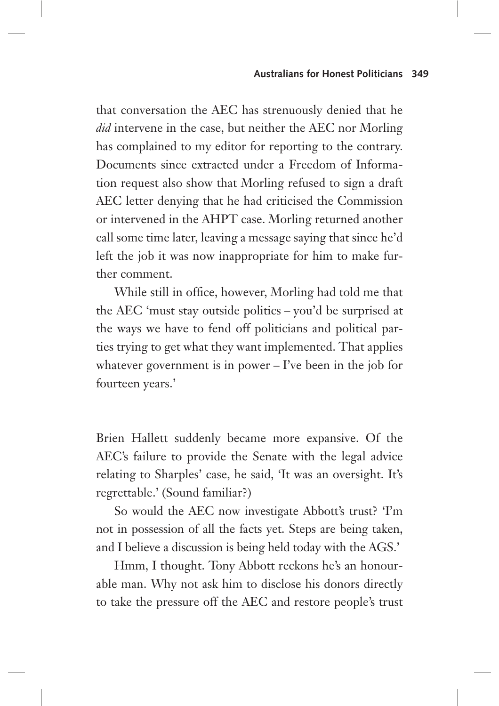that conversation the AEC has strenuously denied that he *did* intervene in the case, but neither the AEC nor Morling has complained to my editor for reporting to the contrary. Documents since extracted under a Freedom of Information request also show that Morling refused to sign a draft AEC letter denying that he had criticised the Commission or intervened in the AHPT case. Morling returned another call some time later, leaving a message saying that since he'd left the job it was now inappropriate for him to make further comment.

While still in office, however, Morling had told me that the AEC 'must stay outside politics – you'd be surprised at the ways we have to fend off politicians and political parties trying to get what they want implemented. That applies whatever government is in power – I've been in the job for fourteen years.'

Brien Hallett suddenly became more expansive. Of the AEC's failure to provide the Senate with the legal advice relating to Sharples' case, he said, 'It was an oversight. It's regrettable.' (Sound familiar?)

So would the AEC now investigate Abbott's trust? 'I'm not in possession of all the facts yet. Steps are being taken, and I believe a discussion is being held today with the AGS.'

Hmm, I thought. Tony Abbott reckons he's an honourable man. Why not ask him to disclose his donors directly to take the pressure off the AEC and restore people's trust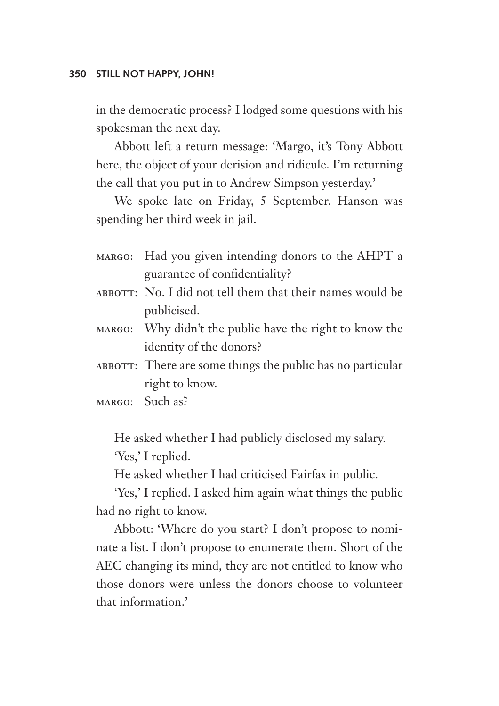in the democratic process? I lodged some questions with his spokesman the next day.

Abbott left a return message: 'Margo, it's Tony Abbott here, the object of your derision and ridicule. I'm returning the call that you put in to Andrew Simpson yesterday.'

We spoke late on Friday, 5 September. Hanson was spending her third week in jail.

- margo: Had you given intending donors to the AHPT a guarantee of confidentiality?
- ABBOTT: No. I did not tell them that their names would be publicised.
- margo: Why didn't the public have the right to know the identity of the donors?
- ABBOTT: There are some things the public has no particular right to know.
- margo: Such as?

He asked whether I had publicly disclosed my salary. 'Yes,' I replied.

He asked whether I had criticised Fairfax in public.

'Yes,' I replied. I asked him again what things the public had no right to know.

Abbott: 'Where do you start? I don't propose to nominate a list. I don't propose to enumerate them. Short of the AEC changing its mind, they are not entitled to know who those donors were unless the donors choose to volunteer that information.'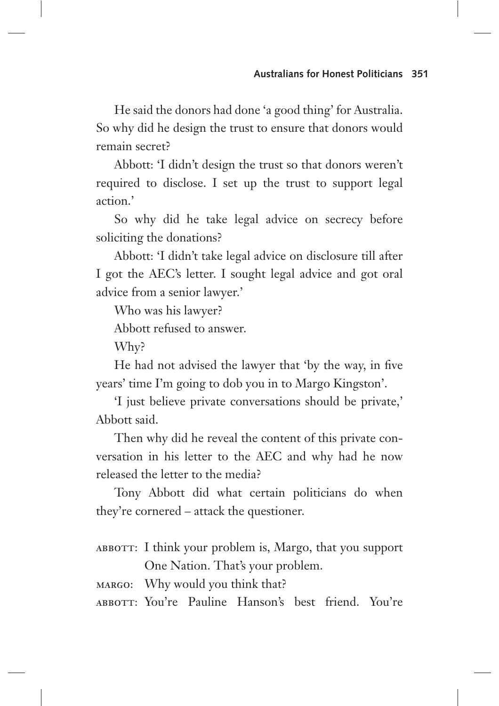He said the donors had done 'a good thing' for Australia. So why did he design the trust to ensure that donors would remain secret?

Abbott: 'I didn't design the trust so that donors weren't required to disclose. I set up the trust to support legal action.'

So why did he take legal advice on secrecy before soliciting the donations?

Abbott: 'I didn't take legal advice on disclosure till after I got the AEC's letter. I sought legal advice and got oral advice from a senior lawyer.'

Who was his lawyer?

Abbott refused to answer.

Why?

He had not advised the lawyer that 'by the way, in five years' time I'm going to dob you in to Margo Kingston'.

'I just believe private conversations should be private,' Abbott said.

Then why did he reveal the content of this private conversation in his letter to the AEC and why had he now released the letter to the media?

Tony Abbott did what certain politicians do when they're cornered – attack the questioner.

ABBOTT: I think your problem is, Margo, that you support One Nation. That's your problem.

margo: Why would you think that?

ABBOTT: You're Pauline Hanson's best friend. You're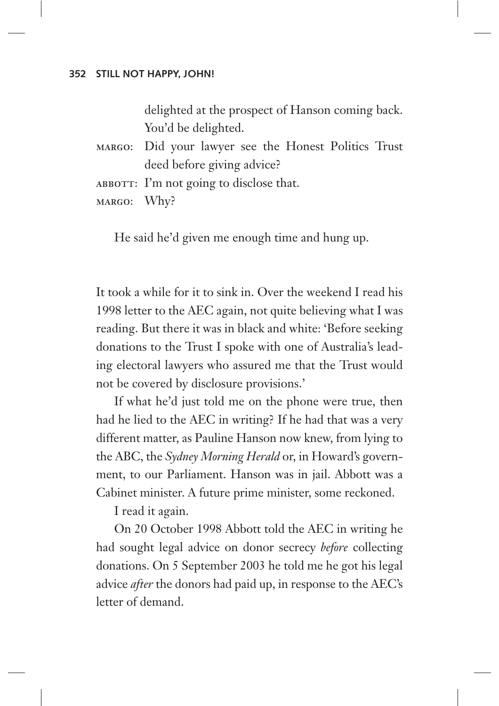delighted at the prospect of Hanson coming back. You'd be delighted.

- margo: Did your lawyer see the Honest Politics Trust deed before giving advice?
- ABBOTT: I'm not going to disclose that.

margo: Why?

He said he'd given me enough time and hung up.

It took a while for it to sink in. Over the weekend I read his 1998 letter to the AEC again, not quite believing what I was reading. But there it was in black and white: 'Before seeking donations to the Trust I spoke with one of Australia's leading electoral lawyers who assured me that the Trust would not be covered by disclosure provisions.'

If what he'd just told me on the phone were true, then had he lied to the AEC in writing? If he had that was a very different matter, as Pauline Hanson now knew, from lying to the ABC, the *Sydney Morning Herald* or, in Howard's government, to our Parliament. Hanson was in jail. Abbott was a Cabinet minister. A future prime minister, some reckoned.

I read it again.

On 20 October 1998 Abbott told the AEC in writing he had sought legal advice on donor secrecy *before* collecting donations. On 5 September 2003 he told me he got his legal advice *after* the donors had paid up, in response to the AEC's letter of demand.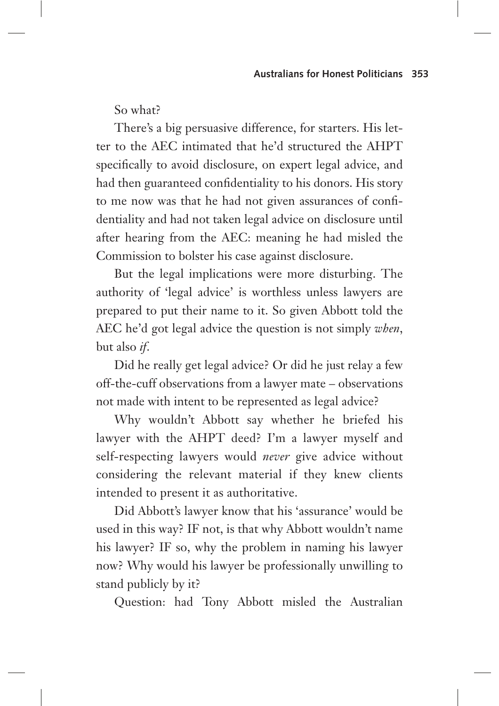So what?

There's a big persuasive difference, for starters. His letter to the AEC intimated that he'd structured the AHPT specifically to avoid disclosure, on expert legal advice, and had then guaranteed confidentiality to his donors. His story to me now was that he had not given assurances of confidentiality and had not taken legal advice on disclosure until after hearing from the AEC: meaning he had misled the Commission to bolster his case against disclosure.

But the legal implications were more disturbing. The authority of 'legal advice' is worthless unless lawyers are prepared to put their name to it. So given Abbott told the AEC he'd got legal advice the question is not simply *when*, but also *if*.

Did he really get legal advice? Or did he just relay a few off-the-cuff observations from a lawyer mate – observations not made with intent to be represented as legal advice?

Why wouldn't Abbott say whether he briefed his lawyer with the AHPT deed? I'm a lawyer myself and self-respecting lawyers would *never* give advice without considering the relevant material if they knew clients intended to present it as authoritative.

Did Abbott's lawyer know that his 'assurance' would be used in this way? IF not, is that why Abbott wouldn't name his lawyer? IF so, why the problem in naming his lawyer now? Why would his lawyer be professionally unwilling to stand publicly by it?

Question: had Tony Abbott misled the Australian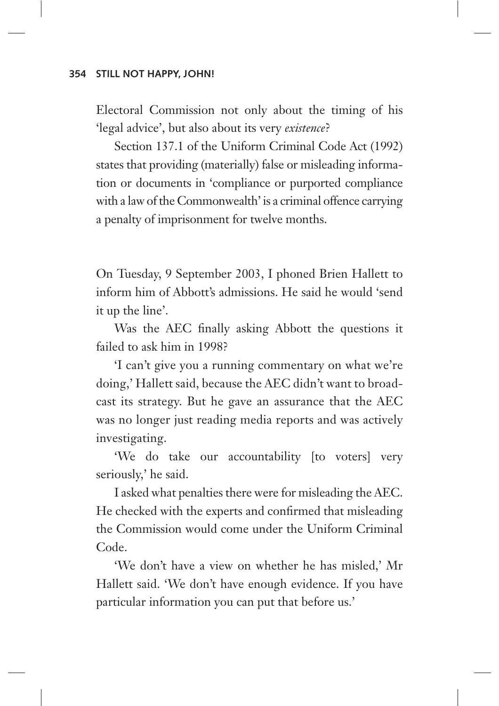Electoral Commission not only about the timing of his 'legal advice', but also about its very *existence*?

Section 137.1 of the Uniform Criminal Code Act (1992) states that providing (materially) false or misleading information or documents in 'compliance or purported compliance with a law of the Commonwealth' is a criminal offence carrying a penalty of imprisonment for twelve months.

On Tuesday, 9 September 2003, I phoned Brien Hallett to inform him of Abbott's admissions. He said he would 'send it up the line'.

Was the AEC finally asking Abbott the questions it failed to ask him in 1998?

'I can't give you a running commentary on what we're doing,' Hallett said, because the AEC didn't want to broadcast its strategy. But he gave an assurance that the AEC was no longer just reading media reports and was actively investigating.

'We do take our accountability [to voters] very seriously,' he said.

I asked what penalties there were for misleading the AEC. He checked with the experts and confirmed that misleading the Commission would come under the Uniform Criminal Code.

'We don't have a view on whether he has misled,' Mr Hallett said. 'We don't have enough evidence. If you have particular information you can put that before us.'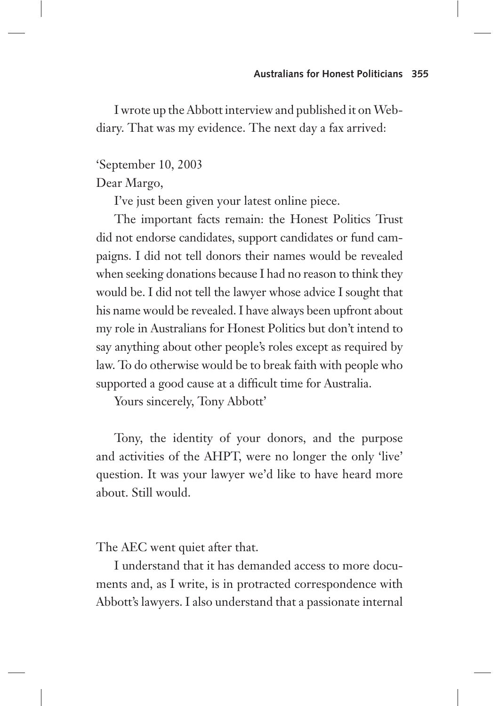I wrote up the Abbott interview and published it on Webdiary. That was my evidence. The next day a fax arrived:

# 'September 10, 2003

Dear Margo,

I've just been given your latest online piece.

The important facts remain: the Honest Politics Trust did not endorse candidates, support candidates or fund campaigns. I did not tell donors their names would be revealed when seeking donations because I had no reason to think they would be. I did not tell the lawyer whose advice I sought that his name would be revealed. I have always been upfront about my role in Australians for Honest Politics but don't intend to say anything about other people's roles except as required by law. To do otherwise would be to break faith with people who supported a good cause at a difficult time for Australia.

Yours sincerely, Tony Abbott'

Tony, the identity of your donors, and the purpose and activities of the AHPT, were no longer the only 'live' question. It was your lawyer we'd like to have heard more about. Still would.

The AEC went quiet after that.

I understand that it has demanded access to more documents and, as I write, is in protracted correspondence with Abbott's lawyers. I also understand that a passionate internal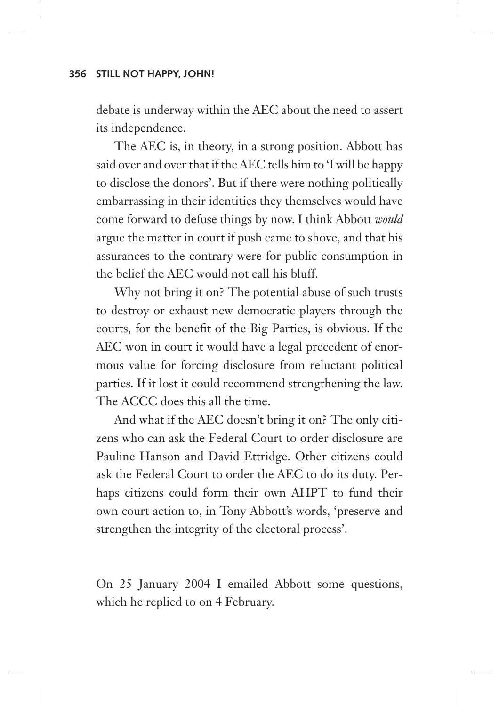debate is underway within the AEC about the need to assert its independence.

The AEC is, in theory, in a strong position. Abbott has said over and over that if the AEC tells him to 'I will be happy to disclose the donors'. But if there were nothing politically embarrassing in their identities they themselves would have come forward to defuse things by now. I think Abbott *would*  argue the matter in court if push came to shove, and that his assurances to the contrary were for public consumption in the belief the AEC would not call his bluff.

Why not bring it on? The potential abuse of such trusts to destroy or exhaust new democratic players through the courts, for the benefit of the Big Parties, is obvious. If the AEC won in court it would have a legal precedent of enormous value for forcing disclosure from reluctant political parties. If it lost it could recommend strengthening the law. The ACCC does this all the time.

And what if the AEC doesn't bring it on? The only citizens who can ask the Federal Court to order disclosure are Pauline Hanson and David Ettridge. Other citizens could ask the Federal Court to order the AEC to do its duty. Perhaps citizens could form their own AHPT to fund their own court action to, in Tony Abbott's words, 'preserve and strengthen the integrity of the electoral process'.

On 25 January 2004 I emailed Abbott some questions, which he replied to on 4 February.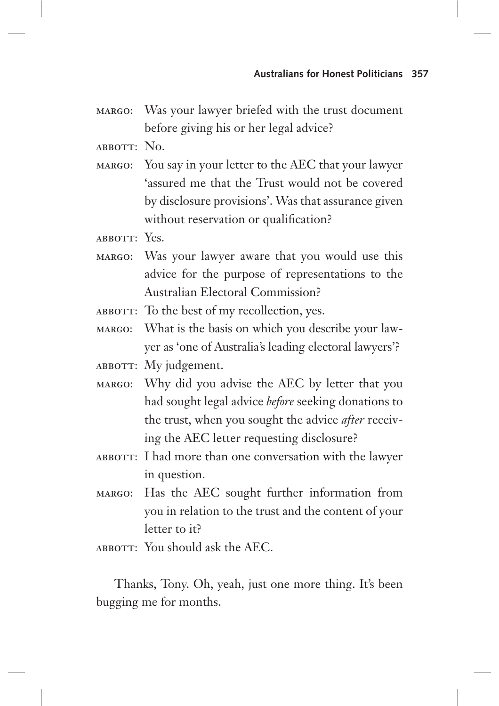- margo: Was your lawyer briefed with the trust document before giving his or her legal advice?
- abbott: No.
- margo: You say in your letter to the AEC that your lawyer 'assured me that the Trust would not be covered by disclosure provisions'. Was that assurance given without reservation or qualification?
- ABBOTT: Yes.
- margo: Was your lawyer aware that you would use this advice for the purpose of representations to the Australian Electoral Commission?
- ABBOTT: To the best of my recollection, yes.
- margo: What is the basis on which you describe your lawyer as 'one of Australia's leading electoral lawyers'?
- ABBOTT: My judgement.
- margo: Why did you advise the AEC by letter that you had sought legal advice *before* seeking donations to the trust, when you sought the advice *after* receiving the AEC letter requesting disclosure?
- ABBOTT: I had more than one conversation with the lawyer in question.
- margo: Has the AEC sought further information from you in relation to the trust and the content of your letter to it?
- ABBOTT: You should ask the AEC.

Thanks, Tony. Oh, yeah, just one more thing. It's been bugging me for months.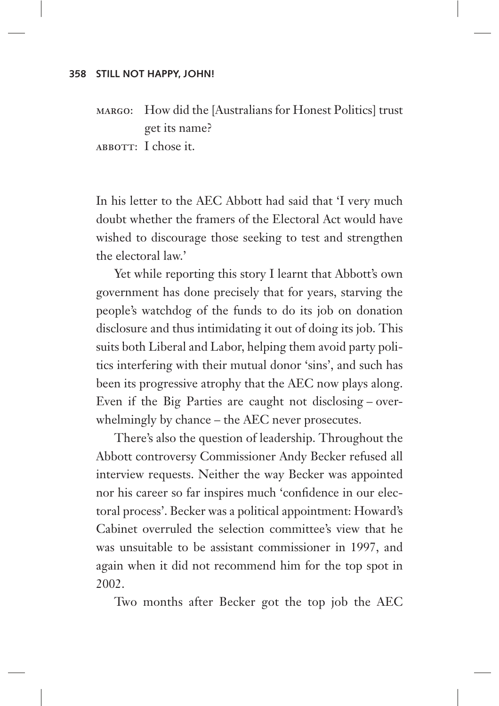margo: How did the [Australians for Honest Politics] trust get its name?

ABBOTT: I chose it.

In his letter to the AEC Abbott had said that 'I very much doubt whether the framers of the Electoral Act would have wished to discourage those seeking to test and strengthen the electoral law.'

Yet while reporting this story I learnt that Abbott's own government has done precisely that for years, starving the people's watchdog of the funds to do its job on donation disclosure and thus intimidating it out of doing its job. This suits both Liberal and Labor, helping them avoid party politics interfering with their mutual donor 'sins', and such has been its progressive atrophy that the AEC now plays along. Even if the Big Parties are caught not disclosing – overwhelmingly by chance – the AEC never prosecutes.

There's also the question of leadership. Throughout the Abbott controversy Commissioner Andy Becker refused all interview requests. Neither the way Becker was appointed nor his career so far inspires much 'confidence in our electoral process'. Becker was a political appointment: Howard's Cabinet overruled the selection committee's view that he was unsuitable to be assistant commissioner in 1997, and again when it did not recommend him for the top spot in 2002.

Two months after Becker got the top job the AEC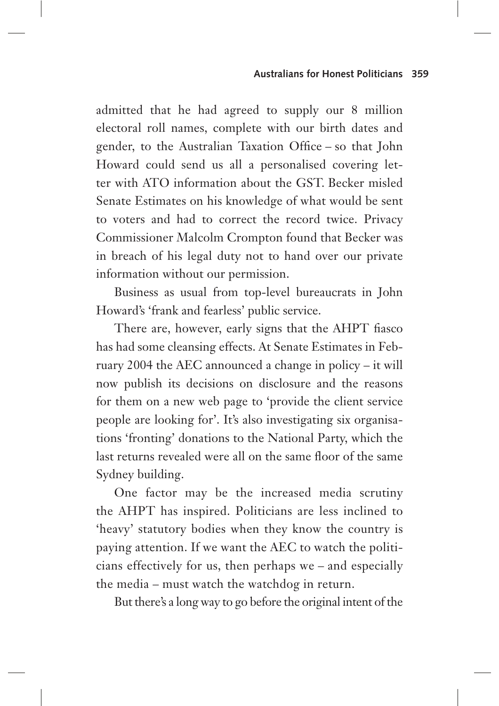admitted that he had agreed to supply our 8 million electoral roll names, complete with our birth dates and gender, to the Australian Taxation Office – so that John Howard could send us all a personalised covering letter with ATO information about the GST. Becker misled Senate Estimates on his knowledge of what would be sent to voters and had to correct the record twice. Privacy Commissioner Malcolm Crompton found that Becker was in breach of his legal duty not to hand over our private information without our permission.

Business as usual from top-level bureaucrats in John Howard's 'frank and fearless' public service.

There are, however, early signs that the AHPT fiasco has had some cleansing effects. At Senate Estimates in February 2004 the AEC announced a change in policy – it will now publish its decisions on disclosure and the reasons for them on a new web page to 'provide the client service people are looking for'. It's also investigating six organisations 'fronting' donations to the National Party, which the last returns revealed were all on the same floor of the same Sydney building.

One factor may be the increased media scrutiny the AHPT has inspired. Politicians are less inclined to 'heavy' statutory bodies when they know the country is paying attention. If we want the AEC to watch the politicians effectively for us, then perhaps we – and especially the media – must watch the watchdog in return.

But there's a long way to go before the original intent of the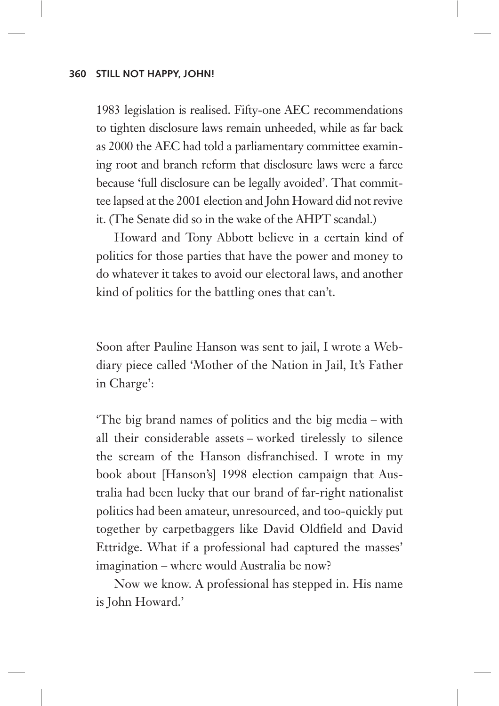1983 legislation is realised. Fifty-one AEC recommendations to tighten disclosure laws remain unheeded, while as far back as 2000 the AEC had told a parliamentary committee examining root and branch reform that disclosure laws were a farce because 'full disclosure can be legally avoided'. That committee lapsed at the 2001 election and John Howard did not revive it. (The Senate did so in the wake of the AHPT scandal.)

Howard and Tony Abbott believe in a certain kind of politics for those parties that have the power and money to do whatever it takes to avoid our electoral laws, and another kind of politics for the battling ones that can't.

Soon after Pauline Hanson was sent to jail, I wrote a Webdiary piece called 'Mother of the Nation in Jail, It's Father in Charge':

'The big brand names of politics and the big media – with all their considerable assets – worked tirelessly to silence the scream of the Hanson disfranchised. I wrote in my book about [Hanson's] 1998 election campaign that Australia had been lucky that our brand of far-right nationalist politics had been amateur, unresourced, and too-quickly put together by carpetbaggers like David Oldfield and David Ettridge. What if a professional had captured the masses' imagination – where would Australia be now?

Now we know. A professional has stepped in. His name is John Howard.'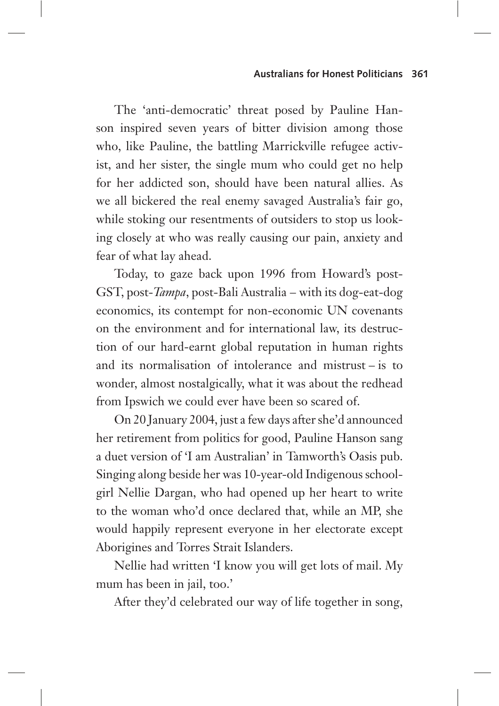The 'anti-democratic' threat posed by Pauline Hanson inspired seven years of bitter division among those who, like Pauline, the battling Marrickville refugee activist, and her sister, the single mum who could get no help for her addicted son, should have been natural allies. As we all bickered the real enemy savaged Australia's fair go, while stoking our resentments of outsiders to stop us looking closely at who was really causing our pain, anxiety and fear of what lay ahead.

Today, to gaze back upon 1996 from Howard's post-GST, post-*Tampa*, post-Bali Australia – with its dog-eat-dog economics, its contempt for non-economic UN covenants on the environment and for international law, its destruction of our hard-earnt global reputation in human rights and its normalisation of intolerance and mistrust – is to wonder, almost nostalgically, what it was about the redhead from Ipswich we could ever have been so scared of.

On 20 January 2004, just a few days after she'd announced her retirement from politics for good, Pauline Hanson sang a duet version of 'I am Australian' in Tamworth's Oasis pub. Singing along beside her was 10-year-old Indigenous schoolgirl Nellie Dargan, who had opened up her heart to write to the woman who'd once declared that, while an MP, she would happily represent everyone in her electorate except Aborigines and Torres Strait Islanders.

Nellie had written 'I know you will get lots of mail. My mum has been in jail, too.'

After they'd celebrated our way of life together in song,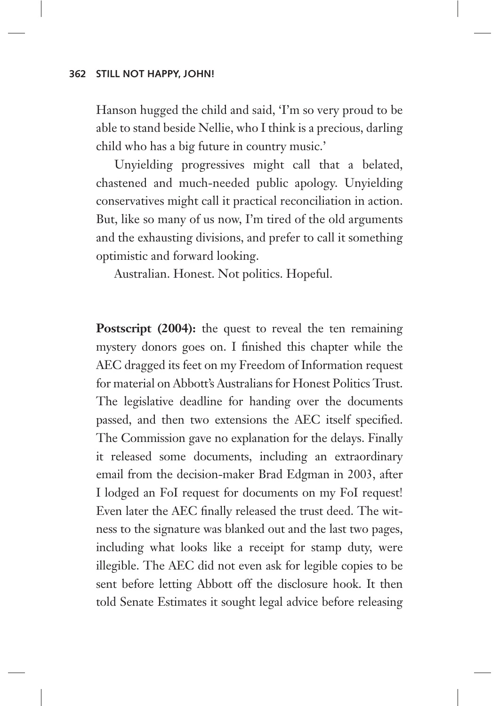Hanson hugged the child and said, 'I'm so very proud to be able to stand beside Nellie, who I think is a precious, darling child who has a big future in country music.'

Unyielding progressives might call that a belated, chastened and much-needed public apology. Unyielding conservatives might call it practical reconciliation in action. But, like so many of us now, I'm tired of the old arguments and the exhausting divisions, and prefer to call it something optimistic and forward looking.

Australian. Honest. Not politics. Hopeful.

**Postscript (2004):** the quest to reveal the ten remaining mystery donors goes on. I finished this chapter while the AEC dragged its feet on my Freedom of Information request for material on Abbott's Australians for Honest Politics Trust. The legislative deadline for handing over the documents passed, and then two extensions the AEC itself specified. The Commission gave no explanation for the delays. Finally it released some documents, including an extraordinary email from the decision-maker Brad Edgman in 2003, after I lodged an FoI request for documents on my FoI request! Even later the AEC finally released the trust deed. The witness to the signature was blanked out and the last two pages, including what looks like a receipt for stamp duty, were illegible. The AEC did not even ask for legible copies to be sent before letting Abbott off the disclosure hook. It then told Senate Estimates it sought legal advice before releasing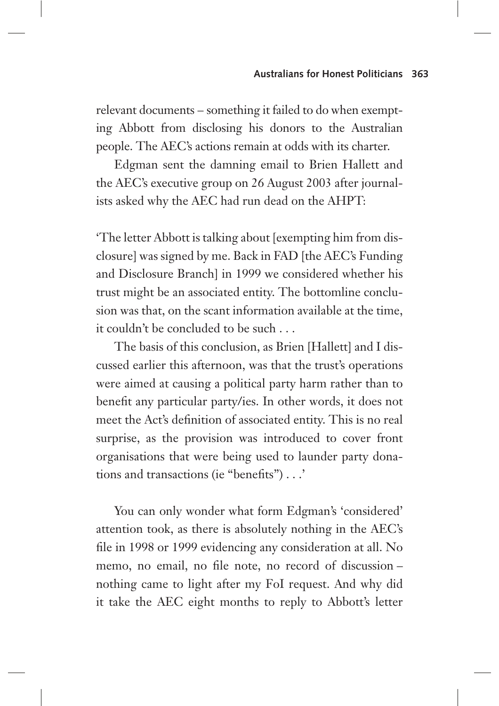relevant documents – something it failed to do when exempting Abbott from disclosing his donors to the Australian people. The AEC's actions remain at odds with its charter.

Edgman sent the damning email to Brien Hallett and the AEC's executive group on 26 August 2003 after journalists asked why the AEC had run dead on the AHPT:

'The letter Abbott is talking about [exempting him from disclosure] was signed by me. Back in FAD [the AEC's Funding and Disclosure Branch] in 1999 we considered whether his trust might be an associated entity. The bottomline conclusion was that, on the scant information available at the time, it couldn't be concluded to be such . . .

The basis of this conclusion, as Brien [Hallett] and I discussed earlier this afternoon, was that the trust's operations were aimed at causing a political party harm rather than to benefit any particular party/ies. In other words, it does not meet the Act's definition of associated entity. This is no real surprise, as the provision was introduced to cover front organisations that were being used to launder party donations and transactions (ie "benefits") . . .'

You can only wonder what form Edgman's 'considered' attention took, as there is absolutely nothing in the AEC's file in 1998 or 1999 evidencing any consideration at all. No memo, no email, no file note, no record of discussion – nothing came to light after my FoI request. And why did it take the AEC eight months to reply to Abbott's letter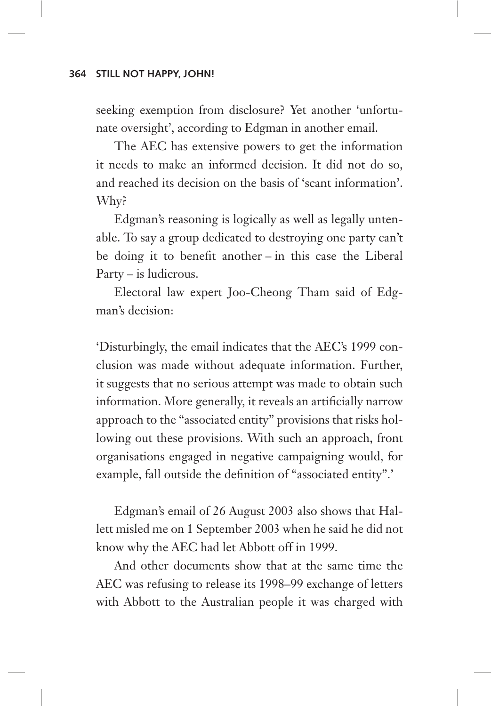seeking exemption from disclosure? Yet another 'unfortunate oversight', according to Edgman in another email.

The AEC has extensive powers to get the information it needs to make an informed decision. It did not do so, and reached its decision on the basis of 'scant information'. Why?

Edgman's reasoning is logically as well as legally untenable. To say a group dedicated to destroying one party can't be doing it to benefit another – in this case the Liberal Party – is ludicrous.

Electoral law expert Joo-Cheong Tham said of Edgman's decision:

'Disturbingly, the email indicates that the AEC's 1999 conclusion was made without adequate information. Further, it suggests that no serious attempt was made to obtain such information. More generally, it reveals an artificially narrow approach to the "associated entity" provisions that risks hollowing out these provisions. With such an approach, front organisations engaged in negative campaigning would, for example, fall outside the definition of "associated entity".'

Edgman's email of 26 August 2003 also shows that Hallett misled me on 1 September 2003 when he said he did not know why the AEC had let Abbott off in 1999.

And other documents show that at the same time the AEC was refusing to release its 1998–99 exchange of letters with Abbott to the Australian people it was charged with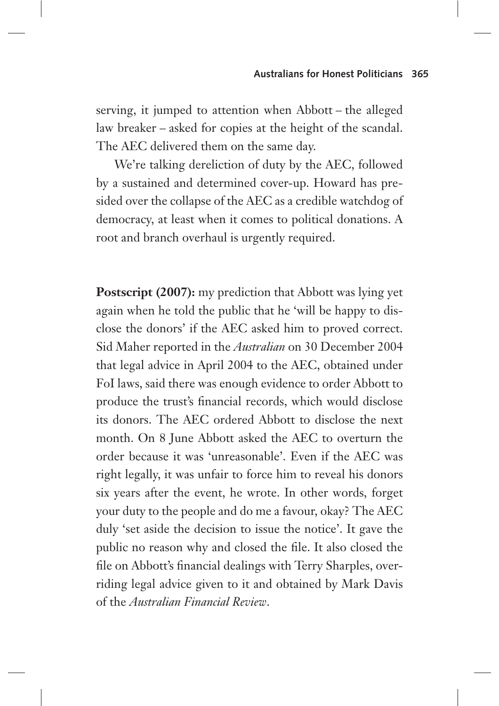serving, it jumped to attention when Abbott – the alleged law breaker – asked for copies at the height of the scandal. The AEC delivered them on the same day.

We're talking dereliction of duty by the AEC, followed by a sustained and determined cover-up. Howard has presided over the collapse of the AEC as a credible watchdog of democracy, at least when it comes to political donations. A root and branch overhaul is urgently required.

**Postscript (2007):** my prediction that Abbott was lying yet again when he told the public that he 'will be happy to disclose the donors' if the AEC asked him to proved correct. Sid Maher reported in the *Australian* on 30 December 2004 that legal advice in April 2004 to the AEC, obtained under FoI laws, said there was enough evidence to order Abbott to produce the trust's financial records, which would disclose its donors. The AEC ordered Abbott to disclose the next month. On 8 June Abbott asked the AEC to overturn the order because it was 'unreasonable'. Even if the AEC was right legally, it was unfair to force him to reveal his donors six years after the event, he wrote. In other words, forget your duty to the people and do me a favour, okay? The AEC duly 'set aside the decision to issue the notice'. It gave the public no reason why and closed the file. It also closed the file on Abbott's financial dealings with Terry Sharples, overriding legal advice given to it and obtained by Mark Davis of the *Australian Financial Review*.